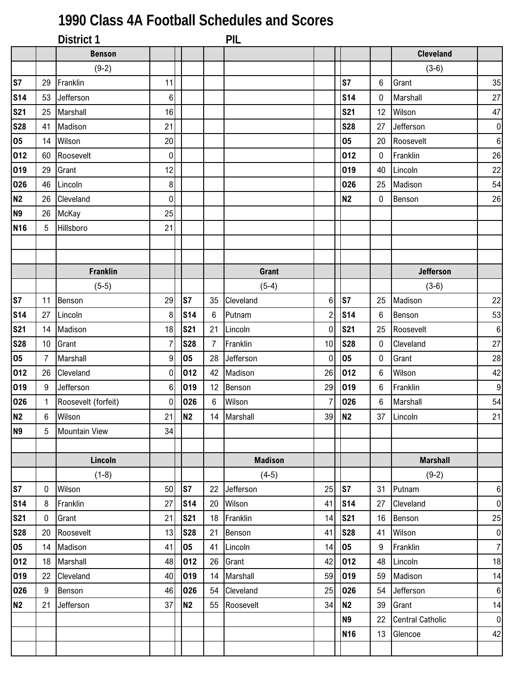## **1990 Class 4A Football Schedules and Scores**

|                 |    | District 1           |                  |                 |                 | PIL            |                |                 |                  |                         |                  |
|-----------------|----|----------------------|------------------|-----------------|-----------------|----------------|----------------|-----------------|------------------|-------------------------|------------------|
|                 |    | <b>Benson</b>        |                  |                 |                 |                |                |                 |                  | <b>Cleveland</b>        |                  |
|                 |    | $(9-2)$              |                  |                 |                 |                |                |                 |                  | $(3-6)$                 |                  |
| S7              | 29 | Franklin             | 11               |                 |                 |                |                | S7              | 6                | Grant                   | 35               |
| <b>S14</b>      | 53 | Jefferson            | 6                |                 |                 |                |                | <b>S14</b>      | 0                | Marshall                | 27               |
| <b>S21</b>      | 25 | Marshall             | 16               |                 |                 |                |                | <b>S21</b>      | 12               | Wilson                  | 47               |
| <b>S28</b>      | 41 | Madison              | 21               |                 |                 |                |                | <b>S28</b>      | 27               | Jefferson               | $\overline{0}$   |
| 05              | 14 | Wilson               | 20               |                 |                 |                |                | 05              | 20               | Roosevelt               | $\boldsymbol{6}$ |
| 012             | 60 | Roosevelt            | 0                |                 |                 |                |                | 012             | 0                | Franklin                | 26               |
| 019             | 29 | Grant                | 12               |                 |                 |                |                | 019             | 40               | Lincoln                 | $22\,$           |
| 026             | 46 | Lincoln              | 8                |                 |                 |                |                | 026             | 25               | Madison                 | 54               |
| N <sub>2</sub>  | 26 | Cleveland            | 0                |                 |                 |                |                | <b>N2</b>       | 0                | Benson                  | 26               |
| N <sub>9</sub>  | 26 | McKay                | 25               |                 |                 |                |                |                 |                  |                         |                  |
| N <sub>16</sub> | 5  | Hillsboro            | 21               |                 |                 |                |                |                 |                  |                         |                  |
|                 |    |                      |                  |                 |                 |                |                |                 |                  |                         |                  |
|                 |    |                      |                  |                 |                 |                |                |                 |                  |                         |                  |
|                 |    | <b>Franklin</b>      |                  |                 |                 | Grant          |                |                 |                  | <b>Jefferson</b>        |                  |
|                 |    | $(5-5)$              |                  |                 |                 | $(5-4)$        |                |                 |                  | $(3-6)$                 |                  |
| S7              | 11 | Benson               | 29               | S7              | 35              | Cleveland      | 6              | S7              | 25               | Madison                 | 22               |
| <b>S14</b>      | 27 | Lincoln              | 8                | S <sub>14</sub> | $6\phantom{.0}$ | Putnam         | $\overline{c}$ | <b>S14</b>      | 6                | Benson                  | 53               |
| <b>S21</b>      | 14 | Madison              | 18               | <b>S21</b>      | 21              | Lincoln        | $\mathbf 0$    | <b>S21</b>      | 25               | Roosevelt               | $\,6\,$          |
| <b>S28</b>      | 10 | Grant                | 7                | <b>S28</b>      | $\overline{7}$  | Franklin       | 10             | <b>S28</b>      | $\boldsymbol{0}$ | Cleveland               | 27               |
| 05              | 7  | Marshall             | $\boldsymbol{9}$ | 05              | 28              | Jefferson      | $\mathbf 0$    | 05              | 0                | Grant                   | 28               |
| 012             | 26 | Cleveland            | 0                | 012             | 42              | Madison        | 26             | 012             | 6                | Wilson                  | 42               |
| 019             | 9  | Jefferson            | $\,6\,$          | 019             | 12 <sup>°</sup> | Benson         | 29             | 019             | 6                | Franklin                | $\boldsymbol{9}$ |
| 026             | 1  | Roosevelt (forfeit)  | 0                | 026             | 6               | Wilson         | $\overline{7}$ | 026             | $\,6$            | Marshall                | 54               |
| N <sub>2</sub>  | 6  | Wilson               | 21               | N <sub>2</sub>  |                 | 14 Marshall    | 39             | N <sub>2</sub>  | 37               | Lincoln                 | 21               |
| <b>N9</b>       | 5  | <b>Mountain View</b> | 34               |                 |                 |                |                |                 |                  |                         |                  |
|                 |    |                      |                  |                 |                 |                |                |                 |                  |                         |                  |
|                 |    | Lincoln              |                  |                 |                 | <b>Madison</b> |                |                 |                  | <b>Marshall</b>         |                  |
|                 |    | $(1-8)$              |                  |                 |                 | $(4-5)$        |                |                 |                  | $(9-2)$                 |                  |
| S7              | 0  | Wilson               | 50               | S7              | 22              | Jefferson      | 25             | S7              | 31               | Putnam                  | 6                |
| <b>S14</b>      | 8  | Franklin             | 27               | S <sub>14</sub> | 20              | Wilson         | 41             | <b>S14</b>      | 27               | Cleveland               | $\pmb{0}$        |
| <b>S21</b>      | 0  | Grant                | 21               | <b>S21</b>      | 18              | Franklin       | 14             | <b>S21</b>      | 16               | Benson                  | 25               |
| <b>S28</b>      | 20 | Roosevelt            | 13               | <b>S28</b>      | 21              | Benson         | 41             | <b>S28</b>      | 41               | Wilson                  | $\pmb{0}$        |
| 05              | 14 | Madison              | 41               | 05              | 41              | Lincoln        | 14             | 05              | 9                | Franklin                | $\overline{7}$   |
| 012             | 18 | Marshall             | 48               | 012             | 26              | Grant          | 42             | 012             | 48               | Lincoln                 | 18               |
| 019             | 22 | Cleveland            | 40               | 019             | 14              | Marshall       | 59             | 019             | 59               | Madison                 | 14               |
| 026             | 9  | Benson               | 46               | 026             | 54              | Cleveland      | 25             | 026             | 54               | Jefferson               | $\,6\,$          |
| N2              | 21 | Jefferson            | 37               | N <sub>2</sub>  | 55              | Roosevelt      | 34             | <b>N2</b>       | 39               | Grant                   | 14               |
|                 |    |                      |                  |                 |                 |                |                | <b>N9</b>       | 22               | <b>Central Catholic</b> | $\overline{0}$   |
|                 |    |                      |                  |                 |                 |                |                | N <sub>16</sub> | 13               | Glencoe                 | 42               |
|                 |    |                      |                  |                 |                 |                |                |                 |                  |                         |                  |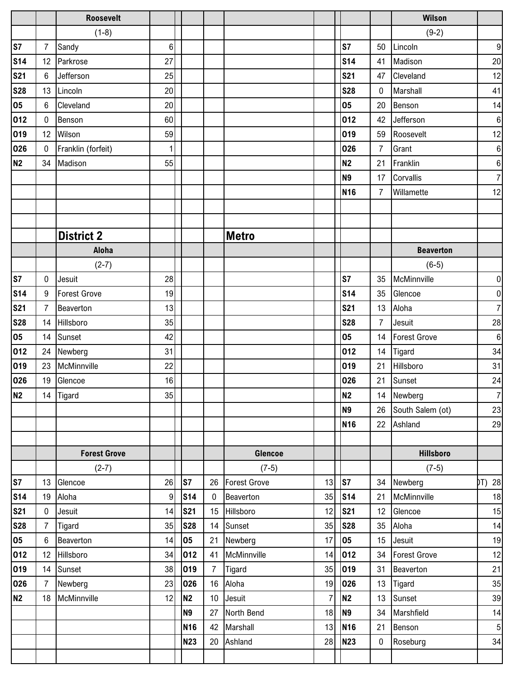|                |                  | <b>Roosevelt</b>    |                |                 |                |                     |                |                 |                | Wilson              |                  |
|----------------|------------------|---------------------|----------------|-----------------|----------------|---------------------|----------------|-----------------|----------------|---------------------|------------------|
|                |                  | $(1-8)$             |                |                 |                |                     |                |                 |                | $(9-2)$             |                  |
| S7             | $\overline{7}$   | Sandy               | 6              |                 |                |                     |                | S7              | 50             | Lincoln             | 9                |
| <b>S14</b>     | 12               | Parkrose            | 27             |                 |                |                     |                | <b>S14</b>      | 41             | Madison             | 20               |
| <b>S21</b>     | 6                | Jefferson           | 25             |                 |                |                     |                | <b>S21</b>      | 47             | Cleveland           | 12               |
| <b>S28</b>     | 13               | Lincoln             | 20             |                 |                |                     |                | <b>S28</b>      | 0              | Marshall            | 41               |
| 05             | 6                | Cleveland           | 20             |                 |                |                     |                | 05              | 20             | Benson              | 14               |
| 012            | $\boldsymbol{0}$ | Benson              | 60             |                 |                |                     |                | 012             | 42             | Jefferson           | $\boldsymbol{6}$ |
| 019            | 12               | Wilson              | 59             |                 |                |                     |                | 019             | 59             | Roosevelt           | 12               |
| 026            | $\mathbf 0$      | Franklin (forfeit)  | 1              |                 |                |                     |                | 026             | $\overline{7}$ | Grant               | 6                |
| <b>N2</b>      | 34               | Madison             | 55             |                 |                |                     |                | <b>N2</b>       | 21             | Franklin            | 6                |
|                |                  |                     |                |                 |                |                     |                | N <sub>9</sub>  | 17             | Corvallis           | $\overline{7}$   |
|                |                  |                     |                |                 |                |                     |                | <b>N16</b>      | $\overline{7}$ | Willamette          | 12               |
|                |                  |                     |                |                 |                |                     |                |                 |                |                     |                  |
|                |                  |                     |                |                 |                |                     |                |                 |                |                     |                  |
|                |                  | <b>District 2</b>   |                |                 |                | <b>Metro</b>        |                |                 |                |                     |                  |
|                |                  | Aloha               |                |                 |                |                     |                |                 |                | <b>Beaverton</b>    |                  |
|                |                  | $(2-7)$             |                |                 |                |                     |                |                 |                | $(6-5)$             |                  |
| S7             | $\mathbf 0$      | Jesuit              | 28             |                 |                |                     |                | S7              | 35             | McMinnville         | $\overline{0}$   |
| <b>S14</b>     | 9                | <b>Forest Grove</b> | 19             |                 |                |                     |                | <b>S14</b>      | 35             | Glencoe             | $\overline{0}$   |
| <b>S21</b>     | $\overline{7}$   | Beaverton           | 13             |                 |                |                     |                | <b>S21</b>      | 13             | Aloha               | $\overline{7}$   |
| <b>S28</b>     | 14               | Hillsboro           | 35             |                 |                |                     |                | <b>S28</b>      | $\overline{7}$ | Jesuit              | 28               |
| 05             | 14               | Sunset              | 42             |                 |                |                     |                | 05              | 14             | <b>Forest Grove</b> | $6 \mid$         |
| 012            | 24               | Newberg             | 31             |                 |                |                     |                | 012             | 14             | Tigard              | 34               |
| 019            | 23               | McMinnville         | 22             |                 |                |                     |                | 019             | 21             | Hillsboro           | 31               |
| 026            | 19               | Glencoe             | 16             |                 |                |                     |                | 026             | 21             | Sunset              | 24               |
| N <sub>2</sub> |                  | 14 Tigard           | 35             |                 |                |                     |                | N <sub>2</sub>  |                | 14 Newberg          | 7                |
|                |                  |                     |                |                 |                |                     |                | N <sub>9</sub>  | 26             | South Salem (ot)    | 23               |
|                |                  |                     |                |                 |                |                     |                | N <sub>16</sub> | 22             | Ashland             | 29               |
|                |                  |                     |                |                 |                |                     |                |                 |                |                     |                  |
|                |                  | <b>Forest Grove</b> |                |                 |                | Glencoe             |                |                 |                | <b>Hillsboro</b>    |                  |
|                |                  | $(2-7)$             |                |                 |                | $(7-5)$             |                |                 |                | $(7-5)$             |                  |
| S7             | 13               | Glencoe             | 26             | S7              | 26             | <b>Forest Grove</b> | 13             | $\sqrt{S}$      | 34             | Newberg             | DT) 28           |
| <b>S14</b>     | 19               | Aloha               | $\overline{9}$ | S <sub>14</sub> | $\mathbf 0$    | Beaverton           | 35             | S <sub>14</sub> | 21             | McMinnville         | 18               |
| <b>S21</b>     | 0                | Jesuit              | 14             | <b>S21</b>      | 15             | Hillsboro           | 12             | <b>S21</b>      | 12             | Glencoe             | 15               |
| <b>S28</b>     | $\overline{7}$   | Tigard              | 35             | <b>S28</b>      | 14             | Sunset              | 35             | <b>S28</b>      | 35             | Aloha               | 14               |
| 05             | 6                | Beaverton           | 14             | 05              |                | 21 Newberg          | 17             | 05              | 15             | Jesuit              | 19               |
| 012            | 12               | Hillsboro           | 34             | 012             | 41             | McMinnville         | 14             | 012             | 34             | <b>Forest Grove</b> | 12               |
| 019            | 14               | Sunset              | 38             | 019             | $\overline{7}$ | <b>Tigard</b>       | 35             | 019             | 31             | Beaverton           | 21               |
| 026            | $\overline{7}$   | Newberg             | 23             | 026             |                | 16 Aloha            | 19             | 026             | 13             | Tigard              | 35               |
| N <sub>2</sub> | 18               | McMinnville         | 12             | N <sub>2</sub>  |                | 10 Jesuit           | $\overline{7}$ | N <sub>2</sub>  | 13             | Sunset              | 39               |
|                |                  |                     |                | N <sub>9</sub>  |                | 27 North Bend       | 18             | N <sub>9</sub>  | 34             | Marshfield          | 14               |
|                |                  |                     |                | <b>N16</b>      | 42             | Marshall            | 13             | N <sub>16</sub> | 21             | Benson              | 5                |
|                |                  |                     |                | <b>N23</b>      |                | 20 Ashland          | 28             | <b>N23</b>      | $\mathbf 0$    | Roseburg            | 34               |
|                |                  |                     |                |                 |                |                     |                |                 |                |                     |                  |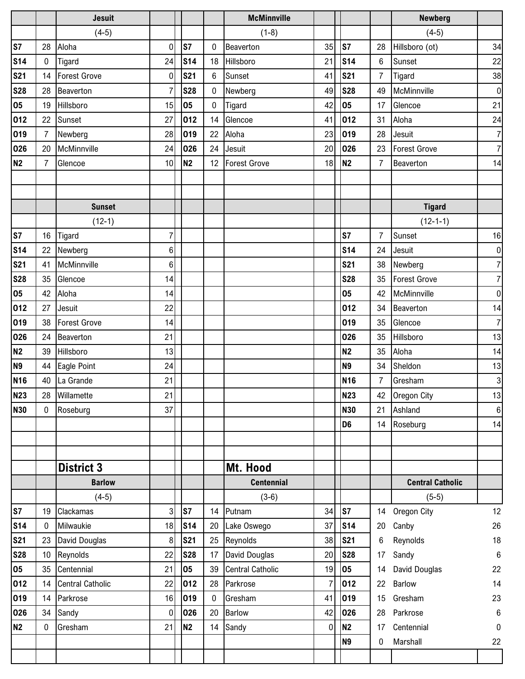|                 |                | <b>Jesuit</b>           |             |                 |              | <b>McMinnville</b>      |                |                 |                | <b>Newberg</b>          |                  |
|-----------------|----------------|-------------------------|-------------|-----------------|--------------|-------------------------|----------------|-----------------|----------------|-------------------------|------------------|
|                 |                | $(4-5)$                 |             |                 |              | $(1-8)$                 |                |                 |                | $(4-5)$                 |                  |
| S7              | 28             | Aloha                   | $\mathbf 0$ | S7              | $\mathbf{0}$ | Beaverton               | 35             | S7              | 28             | Hillsboro (ot)          | 34               |
| <b>S14</b>      | $\mathbf 0$    | Tigard                  | 24          | <b>S14</b>      | 18           | Hillsboro               | 21             | <b>S14</b>      | 6              | Sunset                  | 22               |
| <b>S21</b>      | 14             | <b>Forest Grove</b>     | $\pmb{0}$   | <b>S21</b>      | 6            | Sunset                  | 41             | <b>S21</b>      | $\overline{7}$ | Tigard                  | 38               |
| <b>S28</b>      | 28             | Beaverton               | 7           | <b>S28</b>      | $\mathbf{0}$ | Newberg                 | 49             | <b>S28</b>      | 49             | McMinnville             | $\overline{0}$   |
| 05              | 19             | Hillsboro               | 15          | 05              | 0            | Tigard                  | 42             | 05              | 17             | Glencoe                 | 21               |
| 012             | 22             | Sunset                  | 27          | 012             | 14           | Glencoe                 | 41             | 012             | 31             | Aloha                   | 24               |
| 019             | $\overline{7}$ | Newberg                 | 28          | 019             | 22           | Aloha                   | 23             | 019             | 28             | Jesuit                  | $\overline{7}$   |
| 026             | 20             | McMinnville             | 24          | 026             | 24           | Jesuit                  | 20             | 026             | 23             | <b>Forest Grove</b>     | $\overline{7}$   |
| N2              | 7              | Glencoe                 | 10          | <b>N2</b>       | 12           | <b>Forest Grove</b>     | 18             | <b>N2</b>       | $\overline{7}$ | Beaverton               | 14               |
|                 |                |                         |             |                 |              |                         |                |                 |                |                         |                  |
|                 |                |                         |             |                 |              |                         |                |                 |                |                         |                  |
|                 |                | <b>Sunset</b>           |             |                 |              |                         |                |                 |                | <b>Tigard</b>           |                  |
|                 |                | $(12-1)$                |             |                 |              |                         |                |                 |                | $(12-1-1)$              |                  |
| S7              | 16             | Tigard                  | 7           |                 |              |                         |                | S7              | $\overline{7}$ | Sunset                  | 16               |
| <b>S14</b>      | 22             | Newberg                 | 6           |                 |              |                         |                | <b>S14</b>      | 24             | Jesuit                  | $\overline{0}$   |
| <b>S21</b>      | 41             | McMinnville             | 6           |                 |              |                         |                | <b>S21</b>      | 38             | Newberg                 | $\overline{7}$   |
| <b>S28</b>      | 35             | Glencoe                 | 14          |                 |              |                         |                | <b>S28</b>      | 35             | Forest Grove            | $7\overline{ }$  |
| 05              | 42             | Aloha                   | 14          |                 |              |                         |                | 05              | 42             | McMinnville             | $\overline{0}$   |
| 012             | 27             | Jesuit                  | 22          |                 |              |                         |                | 012             | 34             | Beaverton               | 14               |
| 019             | 38             | <b>Forest Grove</b>     | 14          |                 |              |                         |                | 019             | 35             | Glencoe                 | 7                |
| 026             | 24             | Beaverton               | 21          |                 |              |                         |                | 026             | 35             | Hillsboro               | 13               |
| <b>N2</b>       | 39             | Hillsboro               | 13          |                 |              |                         |                | N <sub>2</sub>  | 35             | Aloha                   | 14               |
| N <sub>9</sub>  | 44             | Eagle Point             | 24          |                 |              |                         |                | N <sub>9</sub>  | 34             | Sheldon                 | 13               |
| N <sub>16</sub> | 40             | La Grande               | 21          |                 |              |                         |                | N <sub>16</sub> | $\overline{7}$ | Gresham                 | $\mathbf{3}$     |
| <b>N23</b>      | 28             | Willamette              | 21          |                 |              |                         |                | <b>N23</b>      | 42             | Oregon City             | 13               |
| <b>N30</b>      | 0              | Roseburg                | 37          |                 |              |                         |                | <b>N30</b>      | 21             | Ashland                 | $\boldsymbol{6}$ |
|                 |                |                         |             |                 |              |                         |                | D <sub>6</sub>  | 14             | Roseburg                | 14               |
|                 |                |                         |             |                 |              |                         |                |                 |                |                         |                  |
|                 |                |                         |             |                 |              |                         |                |                 |                |                         |                  |
|                 |                | <b>District 3</b>       |             |                 |              | Mt. Hood                |                |                 |                |                         |                  |
|                 |                | <b>Barlow</b>           |             |                 |              | <b>Centennial</b>       |                |                 |                | <b>Central Catholic</b> |                  |
|                 |                | $(4-5)$                 |             |                 |              | $(3-6)$                 |                |                 |                | $(5-5)$                 |                  |
| S7              | 19             | Clackamas               | 3           | S7              | 14           | Putnam                  | 34             | S7              |                | 14 Oregon City          | 12               |
| <b>S14</b>      | 0              | Milwaukie               | 18          | S <sub>14</sub> |              | 20 Lake Oswego          | 37             | S <sub>14</sub> | 20             | Canby                   | 26               |
| <b>S21</b>      | 23             | David Douglas           | $\bf 8$     | <b>S21</b>      |              | 25 Reynolds             | 38             | <b>S21</b>      | 6              | Reynolds                | 18               |
| <b>S28</b>      | 10             | Reynolds                | 22          | <b>S28</b>      | 17           | David Douglas           | 20             | <b>S28</b>      | 17             | Sandy                   | $\,6$            |
| 05              | 35             | Centennial              | 21          | 05              | 39           | <b>Central Catholic</b> | 19             | 05              | 14             | David Douglas           | 22               |
| 012             | 14             | <b>Central Catholic</b> | 22          | 012             | 28           | Parkrose                | $\overline{7}$ | 012             | 22             | Barlow                  | 14               |
| 019             | 14             | Parkrose                | 16          | 019             | $\mathbf 0$  | Gresham                 | 41             | 019             | 15             | Gresham                 | 23               |
| 026             | 34             | Sandy                   | $\mathbf 0$ | 026             | 20           | <b>Barlow</b>           | 42             | 026             | 28             | Parkrose                | 6                |
| <b>N2</b>       | 0              | Gresham                 | 21          | N <sub>2</sub>  | 14           | Sandy                   | $\mathbf 0$    | <b>N2</b>       | 17             | Centennial              | 0                |
|                 |                |                         |             |                 |              |                         |                | N <sub>9</sub>  | 0              | Marshall                | 22               |
|                 |                |                         |             |                 |              |                         |                |                 |                |                         |                  |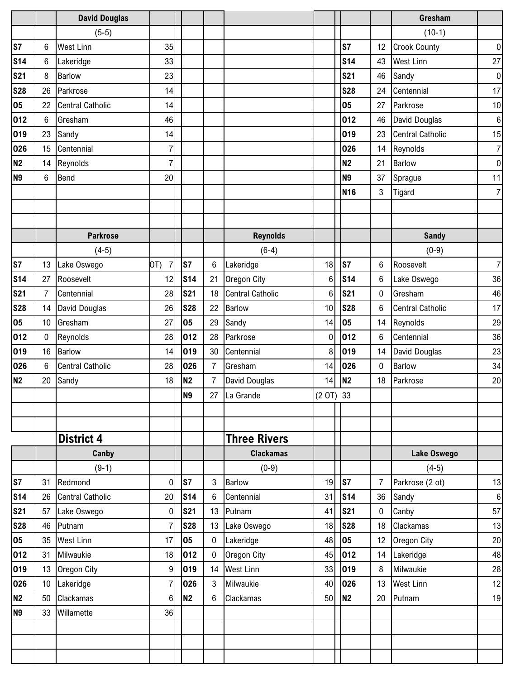|                |                | <b>David Douglas</b>    |                       |                |                |                         |                  |                 |                | Gresham                 |                |
|----------------|----------------|-------------------------|-----------------------|----------------|----------------|-------------------------|------------------|-----------------|----------------|-------------------------|----------------|
|                |                | $(5-5)$                 |                       |                |                |                         |                  |                 |                | $(10-1)$                |                |
| S7             | 6              | <b>West Linn</b>        | 35                    |                |                |                         |                  | S7              | 12             | <b>Crook County</b>     | $\pmb{0}$      |
| <b>S14</b>     | 6              | Lakeridge               | 33                    |                |                |                         |                  | <b>S14</b>      | 43             | <b>West Linn</b>        | 27             |
| <b>S21</b>     | 8              | <b>Barlow</b>           | 23                    |                |                |                         |                  | <b>S21</b>      | 46             | Sandy                   | $\overline{0}$ |
| <b>S28</b>     | 26             | Parkrose                | 14                    |                |                |                         |                  | <b>S28</b>      | 24             | Centennial              | 17             |
| 05             | 22             | <b>Central Catholic</b> | 14                    |                |                |                         |                  | 05              | 27             | Parkrose                | 10             |
| 012            | 6              | Gresham                 | 46                    |                |                |                         |                  | 012             | 46             | David Douglas           | $\bf 6$        |
| 019            | 23             | Sandy                   | 14                    |                |                |                         |                  | 019             | 23             | <b>Central Catholic</b> | 15             |
| 026            | 15             | Centennial              | 7                     |                |                |                         |                  | 026             | 14             | Reynolds                | $\overline{7}$ |
| N <sub>2</sub> | 14             | Reynolds                | $\overline{7}$        |                |                |                         |                  | <b>N2</b>       | 21             | <b>Barlow</b>           | $\overline{0}$ |
| <b>N9</b>      | 6              | <b>Bend</b>             | 20                    |                |                |                         |                  | <b>N9</b>       | 37             | Sprague                 | 11             |
|                |                |                         |                       |                |                |                         |                  | N <sub>16</sub> | 3              | Tigard                  | $\overline{7}$ |
|                |                |                         |                       |                |                |                         |                  |                 |                |                         |                |
|                |                |                         |                       |                |                |                         |                  |                 |                |                         |                |
|                |                | <b>Parkrose</b>         |                       |                |                | <b>Reynolds</b>         |                  |                 |                | <b>Sandy</b>            |                |
|                |                | $(4-5)$                 |                       |                |                | $(6-4)$                 |                  |                 |                | $(0-9)$                 |                |
| S7             | 13             | Lake Oswego             | $\overline{7}$<br>OT) | S7             | 6              | Lakeridge               | 18               | S7              | $\,6$          | Roosevelt               | $\overline{7}$ |
| <b>S14</b>     | 27             | Roosevelt               | 12                    | <b>S14</b>     | 21             | Oregon City             | $\,6$            | <b>S14</b>      | 6              | Lake Oswego             | 36             |
| <b>S21</b>     | $\overline{7}$ | Centennial              | 28                    | <b>S21</b>     | 18             | <b>Central Catholic</b> | $\,6$            | <b>S21</b>      | $\pmb{0}$      | Gresham                 | 46             |
| <b>S28</b>     | 14             | David Douglas           | 26                    | <b>S28</b>     | 22             | Barlow                  | 10               | <b>S28</b>      | $\,6$          | <b>Central Catholic</b> | 17             |
| 05             | 10             | Gresham                 | 27                    | 05             | 29             | Sandy                   | 14               | 05              | 14             | Reynolds                | 29             |
| 012            | $\mathbf{0}$   | Reynolds                | 28                    | 012            | 28             | Parkrose                | $\boldsymbol{0}$ | 012             | 6              | Centennial              | 36             |
| 019            | 16             | <b>Barlow</b>           | 14                    | 019            | 30             | Centennial              | 8                | 019             | 14             | David Douglas           | 23             |
| 026            | 6              | <b>Central Catholic</b> | 28                    | 026            | $\overline{7}$ | Gresham                 | 14               | 026             | 0              | Barlow                  | 34             |
| N2             | 20             | Sandy                   | 18                    | <b>N2</b>      | 7              | <b>David Douglas</b>    | 14               | <b>N2</b>       | 18             | Parkrose                | 20             |
|                |                |                         |                       | N <sub>9</sub> |                | 27 La Grande            | (2 OT) 33        |                 |                |                         |                |
|                |                |                         |                       |                |                |                         |                  |                 |                |                         |                |
|                |                |                         |                       |                |                |                         |                  |                 |                |                         |                |
|                |                | <b>District 4</b>       |                       |                |                | <b>Three Rivers</b>     |                  |                 |                |                         |                |
|                |                | Canby                   |                       |                |                | <b>Clackamas</b>        |                  |                 |                | Lake Oswego             |                |
|                |                | $(9-1)$                 |                       |                |                | $(0-9)$                 |                  |                 |                | $(4-5)$                 |                |
| S7             | 31             | Redmond                 | $\boldsymbol{0}$      | S7             | 3              | Barlow                  | 19               | S7              | $\overline{7}$ | Parkrose (2 ot)         | 13             |
| <b>S14</b>     | 26             | <b>Central Catholic</b> | 20 <sub>l</sub>       | <b>S14</b>     | 6              | Centennial              | 31               | S <sub>14</sub> | 36             | Sandy                   | $6 \mid$       |
| <b>S21</b>     | 57             | Lake Oswego             | $\pmb{0}$             | <b>S21</b>     | 13             | Putnam                  | 41               | <b>S21</b>      | 0              | Canby                   | 57             |
| <b>S28</b>     | 46             | Putnam                  | 7                     | <b>S28</b>     | 13             | Lake Oswego             | 18               | <b>S28</b>      | 18             | Clackamas               | 13             |
| 05             | 35             | <b>West Linn</b>        | 17                    | 05             | $\mathbf 0$    | Lakeridge               | 48               | 05              | 12             | Oregon City             | 20             |
| 012            | 31             | Milwaukie               | 18                    | 012            | 0              | Oregon City             | 45               | 012             | 14             | Lakeridge               | 48             |
| 019            | 13             | Oregon City             | 9                     | 019            | 14             | <b>West Linn</b>        | 33               | 019             | 8              | Milwaukie               | 28             |
| 026            | 10             | Lakeridge               | 7                     | 026            | 3              | Milwaukie               | 40               | 026             | 13             | <b>West Linn</b>        | 12             |
| N <sub>2</sub> | 50             | Clackamas               | 6                     | <b>N2</b>      | 6              | Clackamas               | 50               | N <sub>2</sub>  | 20             | Putnam                  | 19             |
| <b>N9</b>      | 33             | Willamette              | 36                    |                |                |                         |                  |                 |                |                         |                |
|                |                |                         |                       |                |                |                         |                  |                 |                |                         |                |
|                |                |                         |                       |                |                |                         |                  |                 |                |                         |                |
|                |                |                         |                       |                |                |                         |                  |                 |                |                         |                |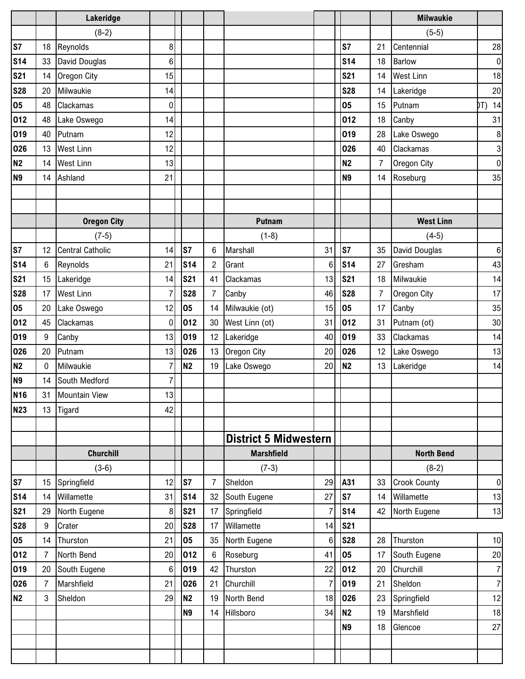|                |                | Lakeridge               |                 |                |                |                              |                 |                |                | <b>Milwaukie</b>    |                |
|----------------|----------------|-------------------------|-----------------|----------------|----------------|------------------------------|-----------------|----------------|----------------|---------------------|----------------|
|                |                | $(8-2)$                 |                 |                |                |                              |                 |                |                | $(5-5)$             |                |
| <b>S7</b>      | 18             | Reynolds                | 8               |                |                |                              |                 | S7             | 21             | Centennial          | 28             |
| <b>S14</b>     | 33             | David Douglas           | 6               |                |                |                              |                 | <b>S14</b>     | 18             | <b>Barlow</b>       | $\overline{0}$ |
| <b>S21</b>     | 14             | Oregon City             | 15              |                |                |                              |                 | <b>S21</b>     | 14             | <b>West Linn</b>    | 18             |
| <b>S28</b>     | 20             | Milwaukie               | 14              |                |                |                              |                 | <b>S28</b>     | 14             | Lakeridge           | 20             |
| 05             | 48             | Clackamas               | $\pmb{0}$       |                |                |                              |                 | 05             | 15             | Putnam              | DT) 14         |
| 012            | 48             | Lake Oswego             | 14              |                |                |                              |                 | 012            | 18             | Canby               | 31             |
| 019            | 40             | Putnam                  | 12              |                |                |                              |                 | 019            | 28             | Lake Oswego         | 8              |
| 026            | 13             | <b>West Linn</b>        | 12              |                |                |                              |                 | 026            | 40             | Clackamas           | $\mathbf{3}$   |
| <b>N2</b>      | 14             | <b>West Linn</b>        | 13              |                |                |                              |                 | <b>N2</b>      | 7              | Oregon City         | $\overline{0}$ |
| <b>N9</b>      | 14             | Ashland                 | 21              |                |                |                              |                 | <b>N9</b>      | 14             | Roseburg            | 35             |
|                |                |                         |                 |                |                |                              |                 |                |                |                     |                |
|                |                |                         |                 |                |                |                              |                 |                |                |                     |                |
|                |                | <b>Oregon City</b>      |                 |                |                | <b>Putnam</b>                |                 |                |                | <b>West Linn</b>    |                |
|                |                | $(7-5)$                 |                 |                |                | $(1-8)$                      |                 |                |                | $(4-5)$             |                |
| S7             | 12             | <b>Central Catholic</b> | 14              | S7             | 6              | Marshall                     | 31              | S7             | 35             | David Douglas       | 6              |
| <b>S14</b>     | 6              | Reynolds                | 21              | <b>S14</b>     | $\overline{2}$ | Grant                        | 6               | <b>S14</b>     | 27             | Gresham             | 43             |
| <b>S21</b>     | 15             | Lakeridge               | 14              | <b>S21</b>     | 41             | Clackamas                    | 13              | <b>S21</b>     | 18             | Milwaukie           | 14             |
| <b>S28</b>     | 17             | <b>West Linn</b>        | $\overline{7}$  | <b>S28</b>     | 7              | Canby                        | 46              | <b>S28</b>     | $\overline{7}$ | Oregon City         | 17             |
| 05             | 20             | Lake Oswego             | 12              | 05             | 14             | Milwaukie (ot)               | 15              | 05             | 17             | Canby               | 35             |
| 012            | 45             | Clackamas               | 0               | 012            | 30             | West Linn (ot)               | 31              | 012            | 31             | Putnam (ot)         | $30\,$         |
| 019            | 9              | Canby                   | 13              | 019            | 12             | Lakeridge                    | 40              | 019            | 33             | Clackamas           | 14             |
| 026            | 20             | Putnam                  | 13              | 026            | 13             | Oregon City                  | 20              | 026            | 12             | Lake Oswego         | 13             |
| <b>N2</b>      | 0              | Milwaukie               | $\overline{7}$  | N <sub>2</sub> | 19             | Lake Oswego                  | 20              | <b>N2</b>      | 13             | Lakeridge           | 14             |
| N <sub>9</sub> | 14             | South Medford           | 7               |                |                |                              |                 |                |                |                     |                |
| <b>N16</b>     | 31             | <b>Mountain View</b>    | 13              |                |                |                              |                 |                |                |                     |                |
| <b>N23</b>     | 13             | Tigard                  | 42              |                |                |                              |                 |                |                |                     |                |
|                |                |                         |                 |                |                |                              |                 |                |                |                     |                |
|                |                |                         |                 |                |                | <b>District 5 Midwestern</b> |                 |                |                |                     |                |
|                |                | <b>Churchill</b>        |                 |                |                | <b>Marshfield</b>            |                 |                |                | <b>North Bend</b>   |                |
|                |                | $(3-6)$                 |                 |                |                | $(7-3)$                      |                 |                |                | $(8-2)$             |                |
| S7             | 15             | Springfield             | 12              | S7             | 7              | Sheldon                      | 29              | A31            | 33             | <b>Crook County</b> | $\overline{0}$ |
| <b>S14</b>     | 14             | Willamette              | 31              | <b>S14</b>     | 32             | South Eugene                 | 27              | S7             | 14             | Willamette          | 13             |
| <b>S21</b>     | 29             | North Eugene            | 8               | <b>S21</b>     | 17             | Springfield                  | $\overline{7}$  | <b>S14</b>     | 42             | North Eugene        | 13             |
| <b>S28</b>     | 9              | Crater                  | 20              | <b>S28</b>     | 17             | Willamette                   | 14              | <b>S21</b>     |                |                     |                |
| 05             | 14             | Thurston                | 21              | 05             | 35             | North Eugene                 | $6\phantom{1}6$ | <b>S28</b>     | 28             | Thurston            | 10             |
| 012            | $\overline{7}$ | North Bend              | 20 <sub>l</sub> | 012            | 6              | Roseburg                     | 41              | 05             | 17             | South Eugene        | 20             |
| 019            | 20             | South Eugene            | 6               | 019            | 42             | Thurston                     | 22              | 012            | 20             | Churchill           | 7 <sup>1</sup> |
| 026            | 7              | Marshfield              | 21              | 026            | 21             | Churchill                    | $\overline{7}$  | 019            | 21             | Sheldon             | 7 <sup>1</sup> |
| <b>N2</b>      | 3              | Sheldon                 | 29              | N <sub>2</sub> | 19             | North Bend                   | 18              | 026            | 23             | Springfield         | 12             |
|                |                |                         |                 | <b>N9</b>      | 14             | Hillsboro                    | 34              | N <sub>2</sub> | 19             | Marshfield          | 18             |
|                |                |                         |                 |                |                |                              |                 | <b>N9</b>      | 18             | Glencoe             | 27             |
|                |                |                         |                 |                |                |                              |                 |                |                |                     |                |
|                |                |                         |                 |                |                |                              |                 |                |                |                     |                |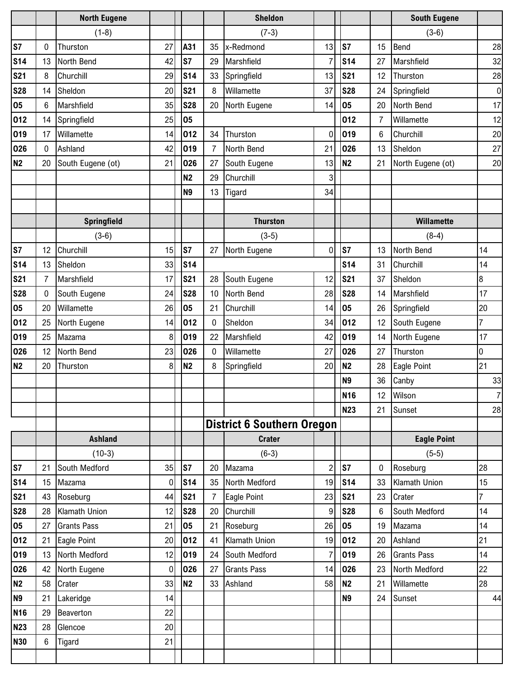|                 |                 | <b>North Eugene</b> |                |                |    | <b>Sheldon</b>                    |                |                 |                | <b>South Eugene</b> |                |
|-----------------|-----------------|---------------------|----------------|----------------|----|-----------------------------------|----------------|-----------------|----------------|---------------------|----------------|
|                 |                 | $(1-8)$             |                |                |    | $(7-3)$                           |                |                 |                | $(3-6)$             |                |
| S7              | 0               | Thurston            | 27             | A31            | 35 | x-Redmond                         | 13             | S7              | 15             | Bend                | 28             |
| <b>S14</b>      | 13              | North Bend          | 42             | S7             | 29 | Marshfield                        | $\overline{7}$ | <b>S14</b>      | 27             | Marshfield          | 32             |
| <b>S21</b>      | 8               | Churchill           | 29             | <b>S14</b>     | 33 | Springfield                       | 13             | <b>S21</b>      | 12             | Thurston            | 28             |
| <b>S28</b>      | 14              | Sheldon             | 20             | <b>S21</b>     | 8  | Willamette                        | 37             | <b>S28</b>      | 24             | Springfield         | $\overline{0}$ |
| 05              | $6\phantom{1}6$ | Marshfield          | 35             | <b>S28</b>     | 20 | North Eugene                      | 14             | 05              | 20             | North Bend          | 17             |
| 012             | 14              | Springfield         | 25             | 05             |    |                                   |                | 012             | $\overline{7}$ | Willamette          | 12             |
| 019             | 17              | Willamette          | 14             | 012            | 34 | Thurston                          | $\mathbf 0$    | 019             | $\,6$          | Churchill           | 20             |
| 026             | 0               | Ashland             | 42             | 019            | 7  | North Bend                        | 21             | 026             | 13             | Sheldon             | 27             |
| <b>N2</b>       | 20              | South Eugene (ot)   | 21             | 026            | 27 | South Eugene                      | 13             | N <sub>2</sub>  | 21             | North Eugene (ot)   | 20             |
|                 |                 |                     |                | N <sub>2</sub> | 29 | Churchill                         | 3              |                 |                |                     |                |
|                 |                 |                     |                | N <sub>9</sub> | 13 | Tigard                            | 34             |                 |                |                     |                |
|                 |                 |                     |                |                |    |                                   |                |                 |                |                     |                |
|                 |                 | Springfield         |                |                |    | <b>Thurston</b>                   |                |                 |                | <b>Willamette</b>   |                |
|                 |                 | $(3-6)$             |                |                |    | $(3-5)$                           |                |                 |                | $(8-4)$             |                |
| S7              | 12              | Churchill           | 15             | S7             | 27 | North Eugene                      | 0              | S7              | 13             | North Bend          | 14             |
| <b>S14</b>      | 13              | Sheldon             | 33             | <b>S14</b>     |    |                                   |                | <b>S14</b>      | 31             | Churchill           | 14             |
| <b>S21</b>      | 7               | Marshfield          | 17             | <b>S21</b>     | 28 | South Eugene                      | 12             | <b>S21</b>      | 37             | Sheldon             | 8              |
| <b>S28</b>      | 0               | South Eugene        | 24             | <b>S28</b>     | 10 | North Bend                        | 28             | <b>S28</b>      | 14             | Marshfield          | 17             |
| 05              | 20              | Willamette          | 26             | 05             | 21 | Churchill                         | 14             | 05              | 26             | Springfield         | 20             |
| 012             | 25              | North Eugene        | 14             | 012            | 0  | Sheldon                           | 34             | 012             | 12             | South Eugene        | $\overline{7}$ |
| 019             | 25              | Mazama              | 8              | 019            | 22 | Marshfield                        | 42             | 019             | 14             | North Eugene        | 17             |
| 026             | 12              | North Bend          | 23             | 026            | 0  | Willamette                        | 27             | 026             | 27             | Thurston            | 0              |
| <b>N2</b>       | 20              | Thurston            | 8              | <b>N2</b>      | 8  | Springfield                       | 20             | <b>N2</b>       | 28             | Eagle Point         | 21             |
|                 |                 |                     |                |                |    |                                   |                | <b>N9</b>       | 36             | Canby               | 33             |
|                 |                 |                     |                |                |    |                                   |                | <b>N16</b>      | 12             | Wilson              | $\overline{7}$ |
|                 |                 |                     |                |                |    |                                   |                | <b>N23</b>      | 21             | Sunset              | 28             |
|                 |                 |                     |                |                |    | <b>District 6 Southern Oregon</b> |                |                 |                |                     |                |
|                 |                 | <b>Ashland</b>      |                |                |    | <b>Crater</b>                     |                |                 |                | <b>Eagle Point</b>  |                |
|                 |                 | $(10-3)$            |                |                |    | $(6-3)$                           |                |                 |                | $(5-5)$             |                |
| S7              | 21              | South Medford       | 35             | S7             | 20 | Mazama                            | $\overline{2}$ | S7              | 0              | Roseburg            | 28             |
| S <sub>14</sub> | 15              | Mazama              | $\mathbf 0$    | <b>S14</b>     | 35 | North Medford                     | 19             | S <sub>14</sub> | 33             | Klamath Union       | 15             |
| <b>S21</b>      | 43              | Roseburg            | 44             | <b>S21</b>     | 7  | Eagle Point                       | 23             | <b>S21</b>      | 23             | Crater              | $\overline{7}$ |
| <b>S28</b>      | 28              | Klamath Union       | 12             | <b>S28</b>     | 20 | Churchill                         | 9              | <b>S28</b>      | $\,6$          | South Medford       | 14             |
| 05              | 27              | <b>Grants Pass</b>  | 21             | 05             | 21 | Roseburg                          | 26             | 05              | 19             | Mazama              | 14             |
| 012             | 21              | Eagle Point         | 20             | 012            | 41 | <b>Klamath Union</b>              | 19             | 012             | 20             | Ashland             | 21             |
| 019             | 13              | North Medford       | 12             | 019            | 24 | South Medford                     | $\overline{7}$ | 019             | 26             | <b>Grants Pass</b>  | 14             |
| 026             | 42              | North Eugene        | $\overline{0}$ | 026            | 27 | <b>Grants Pass</b>                | 14             | 026             | 23             | North Medford       | 22             |
| <b>N2</b>       | 58              | Crater              | 33             | N <sub>2</sub> | 33 | Ashland                           | 58             | N <sub>2</sub>  | 21             | Willamette          | 28             |
| N <sub>9</sub>  | 21              | Lakeridge           | 14             |                |    |                                   |                | N <sub>9</sub>  | 24             | Sunset              | 44             |
| <b>N16</b>      | 29              | Beaverton           | 22             |                |    |                                   |                |                 |                |                     |                |
| <b>N23</b>      | 28              | Glencoe             | 20             |                |    |                                   |                |                 |                |                     |                |
| <b>N30</b>      | 6               | Tigard              | 21             |                |    |                                   |                |                 |                |                     |                |
|                 |                 |                     |                |                |    |                                   |                |                 |                |                     |                |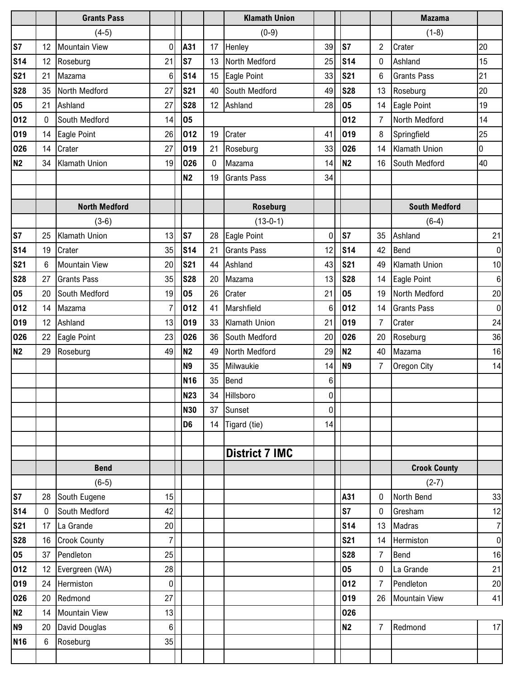|                 |    | <b>Grants Pass</b>   |                |                 |                  | <b>Klamath Union</b>  |                |                 |                | <b>Mazama</b>        |                 |
|-----------------|----|----------------------|----------------|-----------------|------------------|-----------------------|----------------|-----------------|----------------|----------------------|-----------------|
|                 |    | $(4-5)$              |                |                 |                  | $(0-9)$               |                |                 |                | $(1-8)$              |                 |
| S7              | 12 | <b>Mountain View</b> | 0              | A31             | 17               | Henley                | 39             | S7              | $\overline{c}$ | Crater               | 20              |
| <b>S14</b>      | 12 | Roseburg             | 21             | <b>S7</b>       | 13               | North Medford         | 25             | <b>S14</b>      | 0              | Ashland              | 15              |
| <b>S21</b>      | 21 | Mazama               | 6              | <b>S14</b>      | 15               | Eagle Point           | 33             | <b>S21</b>      | 6              | <b>Grants Pass</b>   | 21              |
| <b>S28</b>      | 35 | North Medford        | 27             | <b>S21</b>      | 40               | South Medford         | 49             | <b>S28</b>      | 13             | Roseburg             | 20              |
| 05              | 21 | Ashland              | 27             | <b>S28</b>      | 12               | Ashland               | 28             | 05              | 14             | Eagle Point          | 19              |
| 012             | 0  | South Medford        | 14             | 05              |                  |                       |                | 012             | 7              | North Medford        | 14              |
| 019             | 14 | Eagle Point          | 26             | 012             | 19               | Crater                | 41             | 019             | 8              | Springfield          | 25              |
| 026             | 14 | Crater               | 27             | 019             | 21               | Roseburg              | 33             | 026             | 14             | <b>Klamath Union</b> | 0               |
| <b>N2</b>       | 34 | Klamath Union        | 19             | 026             | $\boldsymbol{0}$ | Mazama                | 14             | N <sub>2</sub>  | 16             | South Medford        | 40              |
|                 |    |                      |                | <b>N2</b>       | 19               | <b>Grants Pass</b>    | 34             |                 |                |                      |                 |
|                 |    |                      |                |                 |                  |                       |                |                 |                |                      |                 |
|                 |    | <b>North Medford</b> |                |                 |                  | <b>Roseburg</b>       |                |                 |                | <b>South Medford</b> |                 |
|                 |    | $(3-6)$              |                |                 |                  | $(13-0-1)$            |                |                 |                | $(6-4)$              |                 |
| S7              | 25 | Klamath Union        | 13             | S7              | 28               | Eagle Point           | 0              | S7              | 35             | Ashland              | 21              |
| S <sub>14</sub> | 19 | Crater               | 35             | <b>S14</b>      | 21               | <b>Grants Pass</b>    | 12             | S <sub>14</sub> | 42             | <b>Bend</b>          | $\pmb{0}$       |
| <b>S21</b>      | 6  | <b>Mountain View</b> | 20             | <b>S21</b>      | 44               | Ashland               | 43             | <b>S21</b>      | 49             | <b>Klamath Union</b> | 10              |
| <b>S28</b>      | 27 | <b>Grants Pass</b>   | 35             | <b>S28</b>      | 20               | Mazama                | 13             | <b>S28</b>      | 14             | Eagle Point          | 6               |
| 05              | 20 | South Medford        | 19             | 05              | 26               | Crater                | 21             | 05              | 19             | North Medford        | 20              |
| 012             | 14 | Mazama               | $\overline{7}$ | 012             | 41               | Marshfield            | 6              | 012             | 14             | <b>Grants Pass</b>   | 0               |
| 019             | 12 | Ashland              | 13             | 019             | 33               | <b>Klamath Union</b>  | 21             | 019             | $\overline{7}$ | Crater               | 24              |
| 026             | 22 | Eagle Point          | 23             | 026             | 36               | South Medford         | 20             | 026             | 20             | Roseburg             | 36              |
| <b>N2</b>       | 29 | Roseburg             | 49             | <b>N2</b>       | 49               | North Medford         | 29             | <b>N2</b>       | 40             | Mazama               | 16              |
|                 |    |                      |                | <b>N9</b>       | 35               | Milwaukie             | 14             | N <sub>9</sub>  | $\overline{7}$ | Oregon City          | 14              |
|                 |    |                      |                | N <sub>16</sub> | 35               | Bend                  | $\,6$          |                 |                |                      |                 |
|                 |    |                      |                | <b>N23</b>      | 34               | Hillsboro             | 0 <sup>1</sup> |                 |                |                      |                 |
|                 |    |                      |                | <b>N30</b>      | 37               | Sunset                | $\mathbf 0$    |                 |                |                      |                 |
|                 |    |                      |                | D <sub>6</sub>  |                  | 14 Tigard (tie)       | 14             |                 |                |                      |                 |
|                 |    |                      |                |                 |                  |                       |                |                 |                |                      |                 |
|                 |    |                      |                |                 |                  | <b>District 7 IMC</b> |                |                 |                |                      |                 |
|                 |    | <b>Bend</b>          |                |                 |                  |                       |                |                 |                | <b>Crook County</b>  |                 |
|                 |    | $(6-5)$              |                |                 |                  |                       |                |                 |                | $(2-7)$              |                 |
| S7              | 28 | South Eugene         | 15             |                 |                  |                       |                | A31             | 0              | North Bend           | 33              |
| <b>S14</b>      | 0  | South Medford        | 42             |                 |                  |                       |                | S7              | 0              | Gresham              | 12              |
| <b>S21</b>      | 17 | La Grande            | 20             |                 |                  |                       |                | <b>S14</b>      | 13             | Madras               | 7               |
| <b>S28</b>      | 16 | <b>Crook County</b>  | $\overline{7}$ |                 |                  |                       |                | <b>S21</b>      | 14             | Hermiston            | $\overline{0}$  |
| 05              | 37 | Pendleton            | 25             |                 |                  |                       |                | <b>S28</b>      | $\overline{7}$ | Bend                 | 16              |
| 012             | 12 | Evergreen (WA)       | 28             |                 |                  |                       |                | 05              | 0              | La Grande            | 21              |
| 019             | 24 | Hermiston            | 0              |                 |                  |                       |                | 012             | $\overline{7}$ | Pendleton            | $20\,$          |
| 026             | 20 | Redmond              | 27             |                 |                  |                       |                | 019             | 26             | <b>Mountain View</b> | 41              |
| <b>N2</b>       | 14 | <b>Mountain View</b> | 13             |                 |                  |                       |                | 026             |                |                      |                 |
| <b>N9</b>       | 20 | David Douglas        | $6\phantom{.}$ |                 |                  |                       |                | N <sub>2</sub>  | $\overline{7}$ | Redmond              | 17 <sub>l</sub> |
| <b>N16</b>      | 6  | Roseburg             | 35             |                 |                  |                       |                |                 |                |                      |                 |
|                 |    |                      |                |                 |                  |                       |                |                 |                |                      |                 |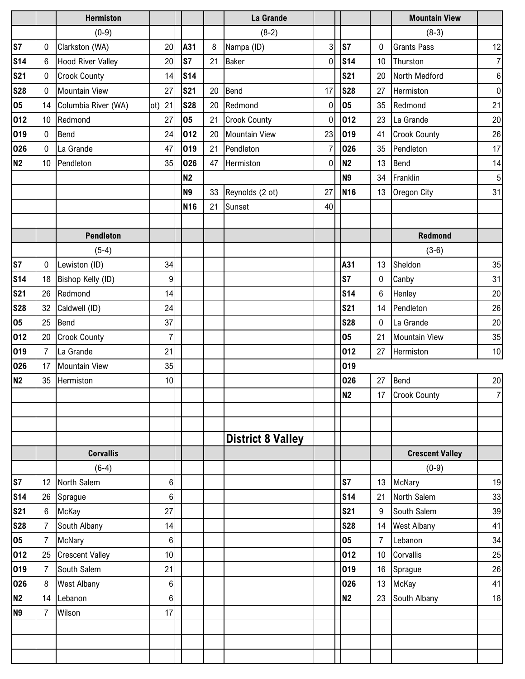|                |                | <b>Hermiston</b>         |                |                 |         | La Grande                |                |                |                | <b>Mountain View</b>   |                  |
|----------------|----------------|--------------------------|----------------|-----------------|---------|--------------------------|----------------|----------------|----------------|------------------------|------------------|
|                |                | $(0-9)$                  |                |                 |         | $(8-2)$                  |                |                |                | $(8-3)$                |                  |
| S7             | 0              | Clarkston (WA)           | 20             | A31             | $\bf 8$ | Nampa (ID)               | 3              | ls7            | 0              | <b>Grants Pass</b>     | 12               |
| <b>S14</b>     | 6              | <b>Hood River Valley</b> | 20             | <b>S7</b>       | 21      | <b>Baker</b>             | $\mathbf 0$    | <b>S14</b>     | 10             | Thurston               | $\overline{7}$   |
| <b>S21</b>     | 0              | <b>Crook County</b>      | 14             | <b>S14</b>      |         |                          |                | <b>S21</b>     | 20             | North Medford          | $\boldsymbol{6}$ |
| <b>S28</b>     | 0              | <b>Mountain View</b>     | 27             | <b>S21</b>      | 20      | Bend                     | 17             | <b>S28</b>     | 27             | Hermiston              | $\overline{0}$   |
| 05             | 14             | Columbia River (WA)      | ot) 21         | <b>S28</b>      | 20      | Redmond                  | 0              | 05             | 35             | Redmond                | 21               |
| 012            | 10             | Redmond                  | 27             | 05              | 21      | <b>Crook County</b>      | 0              | 012            | 23             | La Grande              | 20               |
| 019            | 0              | Bend                     | 24             | 012             | 20      | <b>Mountain View</b>     | 23             | 019            | 41             | <b>Crook County</b>    | 26               |
| 026            | $\mathbf 0$    | La Grande                | 47             | 019             | 21      | Pendleton                | $\overline{7}$ | 026            | 35             | Pendleton              | 17               |
| N <sub>2</sub> | 10             | Pendleton                | 35             | 026             |         | 47 Hermiston             | $\mathbf 0$    | <b>N2</b>      | 13             | <b>Bend</b>            | 14               |
|                |                |                          |                | <b>N2</b>       |         |                          |                | N <sub>9</sub> | 34             | Franklin               | $\sqrt{5}$       |
|                |                |                          |                | N <sub>9</sub>  | 33      | Reynolds (2 ot)          | 27             | <b>N16</b>     | 13             | Oregon City            | 31               |
|                |                |                          |                | N <sub>16</sub> | 21      | Sunset                   | 40             |                |                |                        |                  |
|                |                |                          |                |                 |         |                          |                |                |                |                        |                  |
|                |                | <b>Pendleton</b>         |                |                 |         |                          |                |                |                | <b>Redmond</b>         |                  |
|                |                | $(5-4)$                  |                |                 |         |                          |                |                |                | $(3-6)$                |                  |
| S7             | 0              | Lewiston (ID)            | 34             |                 |         |                          |                | A31            | 13             | Sheldon                | 35               |
| <b>S14</b>     | 18             | Bishop Kelly (ID)        | 9              |                 |         |                          |                | S7             | 0              | Canby                  | 31               |
| <b>S21</b>     | 26             | Redmond                  | 14             |                 |         |                          |                | <b>S14</b>     | 6              | Henley                 | 20               |
| <b>S28</b>     | 32             | Caldwell (ID)            | 24             |                 |         |                          |                | <b>S21</b>     | 14             | Pendleton              | 26               |
| 05             | 25             | Bend                     | 37             |                 |         |                          |                | <b>S28</b>     | $\mathbf 0$    | La Grande              | 20               |
| 012            | 20             | <b>Crook County</b>      | $\overline{7}$ |                 |         |                          |                | 05             | 21             | <b>Mountain View</b>   | 35               |
| 019            | 7              | La Grande                | 21             |                 |         |                          |                | 012            | 27             | Hermiston              | 10               |
| 026            | 17             | <b>Mountain View</b>     | 35             |                 |         |                          |                | 019            |                |                        |                  |
| <b>N2</b>      | 35             | Hermiston                | 10             |                 |         |                          |                | 026            | 27             | Bend                   | 20               |
|                |                |                          |                |                 |         |                          |                | N <sub>2</sub> | 17             | <b>Crook County</b>    | $\overline{7}$   |
|                |                |                          |                |                 |         |                          |                |                |                |                        |                  |
|                |                |                          |                |                 |         |                          |                |                |                |                        |                  |
|                |                |                          |                |                 |         | <b>District 8 Valley</b> |                |                |                |                        |                  |
|                |                | <b>Corvallis</b>         |                |                 |         |                          |                |                |                | <b>Crescent Valley</b> |                  |
|                |                | $(6-4)$                  |                |                 |         |                          |                |                |                | $(0-9)$                |                  |
| S7             | 12             | North Salem              | 6              |                 |         |                          |                | S7             | 13             | McNary                 | 19               |
| <b>S14</b>     | 26             | Sprague                  | $6\phantom{.}$ |                 |         |                          |                | <b>S14</b>     | 21             | North Salem            | 33               |
| <b>S21</b>     | 6              | McKay                    | 27             |                 |         |                          |                | <b>S21</b>     | 9              | South Salem            | 39               |
| <b>S28</b>     | 7              | South Albany             | 14             |                 |         |                          |                | <b>S28</b>     | 14             | <b>West Albany</b>     | 41               |
| 05             | $\overline{7}$ | <b>McNary</b>            | $6\phantom{.}$ |                 |         |                          |                | 05             | $\overline{7}$ | Lebanon                | 34               |
| 012            | 25             | <b>Crescent Valley</b>   | 10             |                 |         |                          |                | 012            | 10             | Corvallis              | 25               |
| 019            | 7              | South Salem              | 21             |                 |         |                          |                | 019            | 16             | Sprague                | 26               |
| 026            | 8              | <b>West Albany</b>       | $\,6$          |                 |         |                          |                | 026            | 13             | McKay                  | 41               |
| N <sub>2</sub> | 14             | Lebanon                  | 6              |                 |         |                          |                | N <sub>2</sub> | 23             | South Albany           | 18               |
| <b>N9</b>      | 7              | Wilson                   | 17             |                 |         |                          |                |                |                |                        |                  |
|                |                |                          |                |                 |         |                          |                |                |                |                        |                  |
|                |                |                          |                |                 |         |                          |                |                |                |                        |                  |
|                |                |                          |                |                 |         |                          |                |                |                |                        |                  |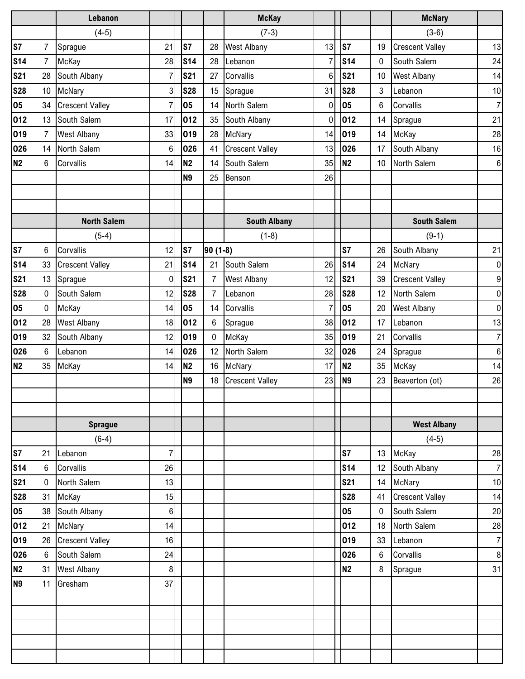|                |                | Lebanon                |                  |                |                | <b>McKay</b>           |                 |                |                  | <b>McNary</b>          |                |
|----------------|----------------|------------------------|------------------|----------------|----------------|------------------------|-----------------|----------------|------------------|------------------------|----------------|
|                |                | $(4-5)$                |                  |                |                | $(7-3)$                |                 |                |                  | $(3-6)$                |                |
| s <sub>7</sub> | $\overline{7}$ | Sprague                | 21               | S7             | 28             | <b>West Albany</b>     | 13              | ls7            | 19               | <b>Crescent Valley</b> | 13             |
| <b>S14</b>     | $\overline{7}$ | McKay                  | 28               | <b>S14</b>     | 28             | Lebanon                | $\overline{7}$  | <b>S14</b>     | $\boldsymbol{0}$ | South Salem            | 24             |
| <b>S21</b>     | 28             | South Albany           | $\overline{7}$   | <b>S21</b>     | 27             | Corvallis              | $6\phantom{1}6$ | <b>S21</b>     | 10               | West Albany            | 14             |
| <b>S28</b>     | 10             | McNary                 | 3 <sup>1</sup>   | <b>S28</b>     | 15             | Sprague                | 31              | <b>S28</b>     | 3                | Lebanon                | 10             |
| 05             | 34             | <b>Crescent Valley</b> | $\overline{7}$   | 05             | 14             | North Salem            | $\mathbf 0$     | 05             | $\,6$            | Corvallis              | $\overline{7}$ |
| 012            | 13             | South Salem            | 17               | 012            | 35             | South Albany           | $\mathbf 0$     | 012            | 14               | Sprague                | 21             |
| 019            | $\overline{7}$ | <b>West Albany</b>     | 33               | 019            | 28             | McNary                 | 14              | 019            | 14               | McKay                  | 28             |
| 026            | 14             | North Salem            | 6                | 026            | 41             | <b>Crescent Valley</b> | 13              | 026            | 17               | South Albany           | 16             |
| <b>N2</b>      | 6              | Corvallis              | 14               | N <sub>2</sub> | 14             | South Salem            | 35              | N <sub>2</sub> | 10               | North Salem            | 6 <sup>1</sup> |
|                |                |                        |                  | <b>N9</b>      | 25             | Benson                 | 26              |                |                  |                        |                |
|                |                |                        |                  |                |                |                        |                 |                |                  |                        |                |
|                |                |                        |                  |                |                |                        |                 |                |                  |                        |                |
|                |                | <b>North Salem</b>     |                  |                |                | <b>South Albany</b>    |                 |                |                  | <b>South Salem</b>     |                |
|                |                | $(5-4)$                |                  |                |                | $(1-8)$                |                 |                |                  | $(9-1)$                |                |
| <b>S7</b>      | 6              | Corvallis              | 12               | S7             | $90(1-8)$      |                        |                 | S7             | 26               | South Albany           | 21             |
| <b>S14</b>     | 33             | <b>Crescent Valley</b> | 21               | <b>S14</b>     | 21             | South Salem            | 26              | <b>S14</b>     | 24               | McNary                 | $\overline{0}$ |
| <b>S21</b>     | 13             | Sprague                | $\overline{0}$   | <b>S21</b>     | 7              | <b>West Albany</b>     | 12              | <b>S21</b>     | 39               | <b>Crescent Valley</b> | 9              |
| <b>S28</b>     | 0              | South Salem            | 12               | <b>S28</b>     | $\overline{7}$ | Lebanon                | 28              | <b>S28</b>     | 12               | North Salem            | $\overline{0}$ |
| 05             | $\mathbf 0$    | McKay                  | 14               | 05             | 14             | Corvallis              | $\overline{7}$  | 05             | 20               | West Albany            | $\overline{0}$ |
| 012            | 28             | <b>West Albany</b>     | 18               | 012            | 6              | Sprague                | 38              | 012            | 17               | Lebanon                | 13             |
| 019            | 32             | South Albany           | 12               | 019            | $\mathbf{0}$   | McKay                  | 35              | 019            | 21               | Corvallis              | $\overline{7}$ |
| 026            | $6\phantom{1}$ | Lebanon                | 14               | 026            | 12             | North Salem            | 32              | 026            | 24               | Sprague                | $6\phantom{.}$ |
| <b>N2</b>      | 35             | McKay                  | 14               | N <sub>2</sub> | 16             | McNary                 | 17              | N <sub>2</sub> | 35               | McKay                  | 14             |
|                |                |                        |                  | <b>N9</b>      | 18             | <b>Crescent Valley</b> | 23              | <b>N9</b>      | 23               | Beaverton (ot)         | 26             |
|                |                |                        |                  |                |                |                        |                 |                |                  |                        |                |
|                |                |                        |                  |                |                |                        |                 |                |                  |                        |                |
|                |                | <b>Sprague</b>         |                  |                |                |                        |                 |                |                  | <b>West Albany</b>     |                |
|                |                | $(6-4)$                |                  |                |                |                        |                 |                |                  | $(4-5)$                |                |
| S7             | 21             | Lebanon                | $\overline{7}$   |                |                |                        |                 | S7             | 13               | McKay                  | 28             |
| <b>S14</b>     | 6              | Corvallis              | 26               |                |                |                        |                 | <b>S14</b>     | 12               | South Albany           | $\overline{7}$ |
| <b>S21</b>     | 0              | North Salem            | 13               |                |                |                        |                 | <b>S21</b>     | 14               | <b>McNary</b>          | 10             |
| <b>S28</b>     | 31             | McKay                  | 15               |                |                |                        |                 | <b>S28</b>     | 41               | <b>Crescent Valley</b> | 14             |
| 05             | 38             | South Albany           | $6\phantom{.}$   |                |                |                        |                 | 05             | $\boldsymbol{0}$ | South Salem            | 20             |
| 012            | 21             | <b>McNary</b>          | 14               |                |                |                        |                 | 012            | 18               | North Salem            | 28             |
| 019            | 26             | <b>Crescent Valley</b> | 16               |                |                |                        |                 | 019            | 33               | Lebanon                | $\overline{7}$ |
| 026            | $6\phantom{1}$ | South Salem            | 24               |                |                |                        |                 | 026            | 6                | Corvallis              | $\bf 8$        |
| <b>N2</b>      | 31             | <b>West Albany</b>     | $\boldsymbol{8}$ |                |                |                        |                 | N <sub>2</sub> | 8                | Sprague                | 31             |
| <b>N9</b>      | 11             | Gresham                | 37               |                |                |                        |                 |                |                  |                        |                |
|                |                |                        |                  |                |                |                        |                 |                |                  |                        |                |
|                |                |                        |                  |                |                |                        |                 |                |                  |                        |                |
|                |                |                        |                  |                |                |                        |                 |                |                  |                        |                |
|                |                |                        |                  |                |                |                        |                 |                |                  |                        |                |
|                |                |                        |                  |                |                |                        |                 |                |                  |                        |                |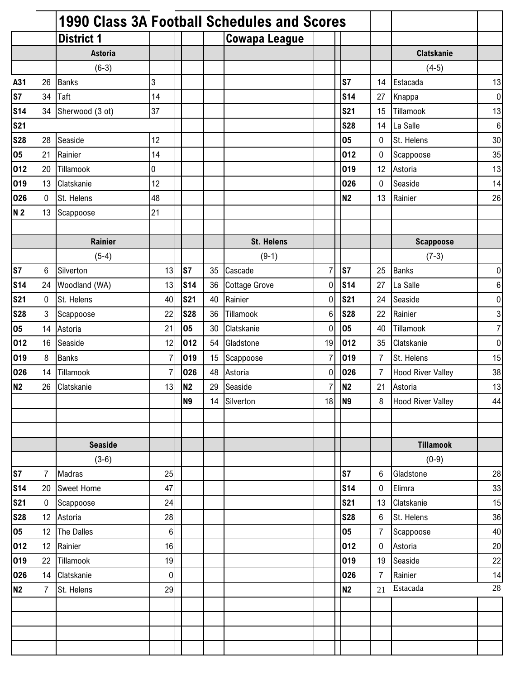|                |                |                   |                |                |    | <b>1990 Class 3A Football Schedules and Scores</b> |                  |                |                |                          |                  |
|----------------|----------------|-------------------|----------------|----------------|----|----------------------------------------------------|------------------|----------------|----------------|--------------------------|------------------|
|                |                | <b>District 1</b> |                |                |    | <b>Cowapa League</b>                               |                  |                |                |                          |                  |
|                |                | <b>Astoria</b>    |                |                |    |                                                    |                  |                |                | <b>Clatskanie</b>        |                  |
|                |                | $(6-3)$           |                |                |    |                                                    |                  |                |                | $(4-5)$                  |                  |
| A31            | 26             | <b>Banks</b>      | 3              |                |    |                                                    |                  | S7             | 14             | Estacada                 | 13               |
| S7             | 34             | Taft              | 14             |                |    |                                                    |                  | <b>S14</b>     | 27             | Knappa                   | $\overline{0}$   |
| <b>S14</b>     | 34             | Sherwood (3 ot)   | 37             |                |    |                                                    |                  | <b>S21</b>     | 15             | Tillamook                | 13               |
| <b>S21</b>     |                |                   |                |                |    |                                                    |                  | <b>S28</b>     | 14             | La Salle                 | $\boldsymbol{6}$ |
| <b>S28</b>     | 28             | Seaside           | 12             |                |    |                                                    |                  | 05             | 0              | St. Helens               | 30               |
| 05             | 21             | Rainier           | 14             |                |    |                                                    |                  | 012            | 0              | Scappoose                | 35               |
| 012            | 20             | Tillamook         | 0              |                |    |                                                    |                  | 019            | 12             | Astoria                  | 13               |
| 019            | 13             | Clatskanie        | 12             |                |    |                                                    |                  | 026            | 0              | Seaside                  | 14               |
| 026            | $\mathbf{0}$   | St. Helens        | 48             |                |    |                                                    |                  | <b>N2</b>      | 13             | Rainier                  | 26               |
| N <sub>2</sub> | 13             | Scappoose         | 21             |                |    |                                                    |                  |                |                |                          |                  |
|                |                |                   |                |                |    |                                                    |                  |                |                |                          |                  |
|                |                | <b>Rainier</b>    |                |                |    | <b>St. Helens</b>                                  |                  |                |                | <b>Scappoose</b>         |                  |
|                |                | $(5-4)$           |                |                |    | $(9-1)$                                            |                  |                |                | $(7-3)$                  |                  |
| S7             | 6              | Silverton         | 13             | S7             | 35 | Cascade                                            | $\overline{7}$   | S7             | 25             | <b>Banks</b>             | 0                |
| <b>S14</b>     | 24             | Woodland (WA)     | 13             | <b>S14</b>     | 36 | <b>Cottage Grove</b>                               | $\mathbf 0$      | <b>S14</b>     | 27             | La Salle                 | $\,6\,$          |
| <b>S21</b>     | 0              | St. Helens        | 40             | <b>S21</b>     | 40 | Rainier                                            | $\boldsymbol{0}$ | <b>S21</b>     | 24             | Seaside                  | $\pmb{0}$        |
| <b>S28</b>     | 3              | Scappoose         | 22             | <b>S28</b>     | 36 | Tillamook                                          | $6\phantom{1}6$  | <b>S28</b>     | 22             | Rainier                  | $\overline{3}$   |
| 05             | 14             | Astoria           | 21             | 05             | 30 | Clatskanie                                         | $\mathbf 0$      | 05             | 40             | Tillamook                | $\overline{7}$   |
| 012            | 16             | Seaside           | 12             | 012            | 54 | Gladstone                                          | 19               | 012            | 35             | Clatskanie               | $\pmb{0}$        |
| 019            | 8              | <b>Banks</b>      | $\overline{7}$ | 019            | 15 | Scappoose                                          | $\overline{7}$   | 019            | $\overline{7}$ | St. Helens               | 15               |
| 026            | 14             | Tillamook         | $\overline{7}$ | 026            | 48 | Astoria                                            | 0                | 026            | $\overline{7}$ | <b>Hood River Valley</b> | 38               |
| N <sub>2</sub> | 26             | Clatskanie        | 13             | N <sub>2</sub> | 29 | Seaside                                            | 7                | N <sub>2</sub> | 21             | Astoria                  | 13               |
|                |                |                   |                | N <sub>9</sub> |    | 14 Silverton                                       | 18               | N <sub>9</sub> | 8              | <b>Hood River Valley</b> | 44               |
|                |                |                   |                |                |    |                                                    |                  |                |                |                          |                  |
|                |                |                   |                |                |    |                                                    |                  |                |                |                          |                  |
|                |                | <b>Seaside</b>    |                |                |    |                                                    |                  |                |                | <b>Tillamook</b>         |                  |
|                |                | $(3-6)$           |                |                |    |                                                    |                  |                |                | $(0-9)$                  |                  |
| S7             | $\overline{7}$ | Madras            | 25             |                |    |                                                    |                  | S7             | 6              | Gladstone                | 28               |
| <b>S14</b>     | 20             | <b>Sweet Home</b> | 47             |                |    |                                                    |                  | <b>S14</b>     | 0              | Elimra                   | 33               |
| <b>S21</b>     | 0              | Scappoose         | 24             |                |    |                                                    |                  | <b>S21</b>     | 13             | Clatskanie               | 15               |
| <b>S28</b>     | 12             | Astoria           | 28             |                |    |                                                    |                  | <b>S28</b>     | 6              | St. Helens               | 36               |
| 05             | 12             | The Dalles        | 6              |                |    |                                                    |                  | 05             | $\overline{7}$ | Scappoose                | 40               |
| 012            | 12             | Rainier           | 16             |                |    |                                                    |                  | 012            | $\pmb{0}$      | Astoria                  | 20               |
| 019            | 22             | Tillamook         | 19             |                |    |                                                    |                  | 019            | 19             | Seaside                  | 22               |
| 026            | 14             | Clatskanie        | 0              |                |    |                                                    |                  | 026            | $\overline{7}$ | Rainier                  | 14               |
| N2             | $\overline{7}$ | St. Helens        | 29             |                |    |                                                    |                  | <b>N2</b>      | 21             | Estacada                 | 28               |
|                |                |                   |                |                |    |                                                    |                  |                |                |                          |                  |
|                |                |                   |                |                |    |                                                    |                  |                |                |                          |                  |
|                |                |                   |                |                |    |                                                    |                  |                |                |                          |                  |
|                |                |                   |                |                |    |                                                    |                  |                |                |                          |                  |
|                |                |                   |                |                |    |                                                    |                  |                |                |                          |                  |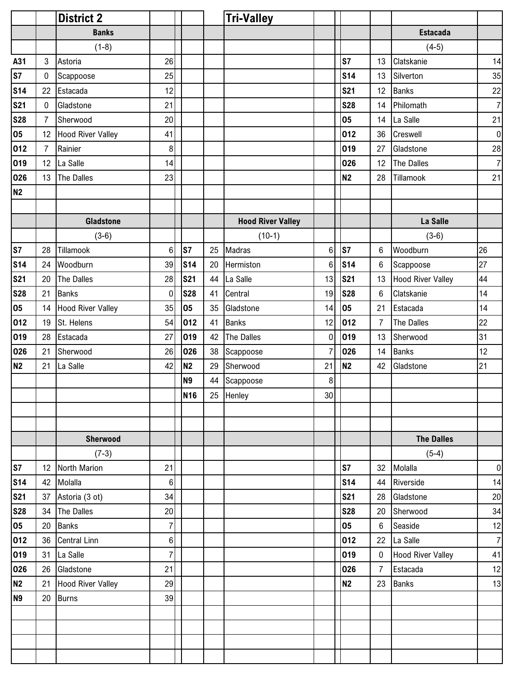|                |                | <b>District 2</b>        |                |                |    | <b>Tri-Valley</b>        |                 |                |                |                          |                |
|----------------|----------------|--------------------------|----------------|----------------|----|--------------------------|-----------------|----------------|----------------|--------------------------|----------------|
|                |                | <b>Banks</b>             |                |                |    |                          |                 |                |                | <b>Estacada</b>          |                |
|                |                | $(1-8)$                  |                |                |    |                          |                 |                |                | $(4-5)$                  |                |
| A31            | 3              | Astoria                  | 26             |                |    |                          |                 | S7             | 13             | Clatskanie               | 14             |
| s <sub>7</sub> | $\mathbf 0$    | Scappoose                | 25             |                |    |                          |                 | <b>S14</b>     | 13             | Silverton                | 35             |
| <b>S14</b>     | 22             | Estacada                 | 12             |                |    |                          |                 | <b>S21</b>     | 12             | <b>Banks</b>             | 22             |
| <b>S21</b>     | 0              | Gladstone                | 21             |                |    |                          |                 | <b>S28</b>     | 14             | Philomath                | $\overline{7}$ |
| <b>S28</b>     | $\overline{7}$ | Sherwood                 | 20             |                |    |                          |                 | 05             | 14             | La Salle                 | 21             |
| 05             | 12             | <b>Hood River Valley</b> | 41             |                |    |                          |                 | 012            | 36             | Creswell                 | $\overline{0}$ |
| 012            | 7              | Rainier                  | 8              |                |    |                          |                 | 019            | 27             | Gladstone                | 28             |
| 019            | 12             | La Salle                 | 14             |                |    |                          |                 | 026            | 12             | The Dalles               | 7 <sup>1</sup> |
| 026            | 13             | The Dalles               | 23             |                |    |                          |                 | N <sub>2</sub> | 28             | Tillamook                | 21             |
| N <sub>2</sub> |                |                          |                |                |    |                          |                 |                |                |                          |                |
|                |                |                          |                |                |    |                          |                 |                |                |                          |                |
|                |                | <b>Gladstone</b>         |                |                |    | <b>Hood River Valley</b> |                 |                |                | La Salle                 |                |
|                |                | $(3-6)$                  |                |                |    | $(10-1)$                 |                 |                |                | $(3-6)$                  |                |
| <b>S7</b>      | 28             | Tillamook                | $6 \mid$       | ls7            | 25 | Madras                   | 6               | S7             | 6              | Woodburn                 | 26             |
| <b>S14</b>     | 24             | Woodburn                 | 39             | <b>S14</b>     | 20 | Hermiston                | $6\phantom{1}$  | <b>S14</b>     | 6              | Scappoose                | 27             |
| <b>S21</b>     | 20             | The Dalles               | 28             | <b>S21</b>     | 44 | La Salle                 | 13              | <b>S21</b>     | 13             | <b>Hood River Valley</b> | 44             |
| <b>S28</b>     | 21             | <b>Banks</b>             | $\pmb{0}$      | <b>S28</b>     | 41 | Central                  | 19              | <b>S28</b>     | $\,6$          | Clatskanie               | 14             |
| 05             | 14             | <b>Hood River Valley</b> | 35             | 05             | 35 | Gladstone                | 14              | 05             | 21             | Estacada                 | 14             |
| 012            | 19             | St. Helens               | 54             | 012            | 41 | <b>Banks</b>             | 12              | 012            | $\overline{7}$ | The Dalles               | 22             |
| 019            | 28             | Estacada                 | 27             | 019            | 42 | The Dalles               | $\mathbf 0$     | 019            | 13             | Sherwood                 | 31             |
| 026            | 21             | Sherwood                 | 26             | 026            | 38 | Scappoose                | $\overline{7}$  | 026            | 14             | <b>Banks</b>             | 12             |
| <b>N2</b>      | 21             | La Salle                 | 42             | N <sub>2</sub> | 29 | Sherwood                 | 21              | N <sub>2</sub> | 42             | Gladstone                | 21             |
|                |                |                          |                | <b>N9</b>      | 44 | Scappoose                | 8               |                |                |                          |                |
|                |                |                          |                | <b>N16</b>     |    | 25 Henley                | 30 <sub>l</sub> |                |                |                          |                |
|                |                |                          |                |                |    |                          |                 |                |                |                          |                |
|                |                |                          |                |                |    |                          |                 |                |                |                          |                |
|                |                | Sherwood                 |                |                |    |                          |                 |                |                | <b>The Dalles</b>        |                |
|                |                | $(7-3)$                  |                |                |    |                          |                 |                |                | $(5-4)$                  |                |
| <b>S7</b>      | 12             | North Marion             | 21             |                |    |                          |                 | S7             | 32             | Molalla                  | $\overline{0}$ |
| <b>S14</b>     | 42             | Molalla                  | $6\phantom{.}$ |                |    |                          |                 | <b>S14</b>     | 44             | Riverside                | 14             |
| <b>S21</b>     | 37             | Astoria (3 ot)           | 34             |                |    |                          |                 | <b>S21</b>     | 28             | Gladstone                | 20             |
| <b>S28</b>     | 34             | The Dalles               | 20             |                |    |                          |                 | <b>S28</b>     | 20             | Sherwood                 | 34             |
| 05             | 20             | <b>Banks</b>             | $\overline{7}$ |                |    |                          |                 | 05             | $\,6$          | Seaside                  | 12             |
| 012            | 36             | <b>Central Linn</b>      | 6 <sup>1</sup> |                |    |                          |                 | 012            | 22             | La Salle                 | $\overline{7}$ |
| 019            | 31             | La Salle                 | $\overline{7}$ |                |    |                          |                 | 019            | $\bf{0}$       | <b>Hood River Valley</b> | 41             |
| 026            | 26             | Gladstone                | 21             |                |    |                          |                 | 026            | $\overline{7}$ | Estacada                 | 12             |
| <b>N2</b>      | 21             | <b>Hood River Valley</b> | 29             |                |    |                          |                 | N <sub>2</sub> | 23             | <b>Banks</b>             | 13             |
| N <sub>9</sub> | 20             | <b>Burns</b>             | 39             |                |    |                          |                 |                |                |                          |                |
|                |                |                          |                |                |    |                          |                 |                |                |                          |                |
|                |                |                          |                |                |    |                          |                 |                |                |                          |                |
|                |                |                          |                |                |    |                          |                 |                |                |                          |                |
|                |                |                          |                |                |    |                          |                 |                |                |                          |                |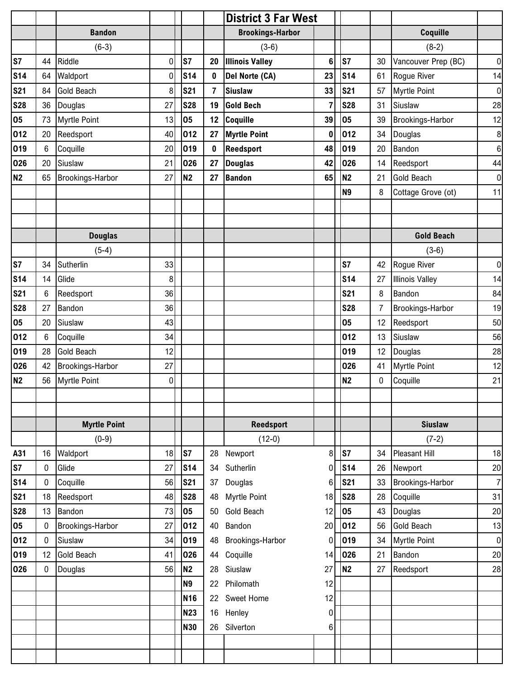|                |    |                         |           |                |             | <b>District 3 Far West</b> |                 |                |                |                        |                |
|----------------|----|-------------------------|-----------|----------------|-------------|----------------------------|-----------------|----------------|----------------|------------------------|----------------|
|                |    | <b>Bandon</b>           |           |                |             | <b>Brookings-Harbor</b>    |                 |                |                | Coquille               |                |
|                |    | $(6-3)$                 |           |                |             | $(3-6)$                    |                 |                |                | $(8-2)$                |                |
| S7             | 44 | Riddle                  | 0         | S7             | 20          | <b>Illinois Valley</b>     | $6\phantom{1}6$ | S7             | 30             | Vancouver Prep (BC)    | $\overline{0}$ |
| <b>S14</b>     | 64 | Waldport                | $\pmb{0}$ | <b>S14</b>     | 0           | Del Norte (CA)             | 23              | <b>S14</b>     | 61             | Rogue River            | 14             |
| <b>S21</b>     | 84 | <b>Gold Beach</b>       | 8         | <b>S21</b>     | 7           | <b>Siuslaw</b>             | 33              | <b>S21</b>     | 57             | <b>Myrtle Point</b>    | $\overline{0}$ |
| <b>S28</b>     | 36 | Douglas                 | 27        | <b>S28</b>     | 19          | <b>Gold Bech</b>           | 7               | <b>S28</b>     | 31             | Siuslaw                | 28             |
| 05             | 73 | <b>Myrtle Point</b>     | 13        | 05             | 12          | Coquille                   | 39              | 05             | 39             | Brookings-Harbor       | 12             |
| 012            | 20 | Reedsport               | 40        | 012            | 27          | <b>Myrtle Point</b>        | $\bf{0}$        | 012            | 34             | Douglas                | $\bf 8$        |
| 019            | 6  | Coquille                | 20        | 019            | $\mathbf 0$ | Reedsport                  | 48              | 019            | 20             | Bandon                 | $\,6$          |
| 026            | 20 | Siuslaw                 | 21        | 026            | 27          | <b>Douglas</b>             | 42              | 026            | 14             | Reedsport              | 44             |
| <b>N2</b>      | 65 | Brookings-Harbor        | 27        | N <sub>2</sub> | 27          | <b>Bandon</b>              | 65              | N <sub>2</sub> | 21             | <b>Gold Beach</b>      | $\overline{0}$ |
|                |    |                         |           |                |             |                            |                 | <b>N9</b>      | 8              | Cottage Grove (ot)     | 11             |
|                |    |                         |           |                |             |                            |                 |                |                |                        |                |
|                |    |                         |           |                |             |                            |                 |                |                |                        |                |
|                |    | <b>Douglas</b>          |           |                |             |                            |                 |                |                | <b>Gold Beach</b>      |                |
|                |    | $(5-4)$                 |           |                |             |                            |                 |                |                | $(3-6)$                |                |
| S7             | 34 | Sutherlin               | 33        |                |             |                            |                 | S7             | 42             | Rogue River            | $\overline{0}$ |
| <b>S14</b>     | 14 | Glide                   | 8         |                |             |                            |                 | <b>S14</b>     | 27             | <b>Illinois Valley</b> | 14             |
| <b>S21</b>     | 6  | Reedsport               | 36        |                |             |                            |                 | <b>S21</b>     | 8              | Bandon                 | 84             |
| <b>S28</b>     | 27 | Bandon                  | 36        |                |             |                            |                 | <b>S28</b>     | $\overline{7}$ | Brookings-Harbor       | 19             |
| 05             | 20 | Siuslaw                 | 43        |                |             |                            |                 | 05             | 12             | Reedsport              | 50             |
| 012            | 6  | Coquille                | 34        |                |             |                            |                 | 012            | 13             | Siuslaw                | 56             |
| 019            | 28 | <b>Gold Beach</b>       | 12        |                |             |                            |                 | 019            | 12             | Douglas                | 28             |
| 026            | 42 | Brookings-Harbor        | 27        |                |             |                            |                 | 026            | 41             | <b>Myrtle Point</b>    | 12             |
| N <sub>2</sub> | 56 | Myrtle Point            | 0         |                |             |                            |                 | N <sub>2</sub> | 0              | Coquille               | 21             |
|                |    |                         |           |                |             |                            |                 |                |                |                        |                |
|                |    |                         |           |                |             |                            |                 |                |                |                        |                |
|                |    | <b>Myrtle Point</b>     |           |                |             | Reedsport                  |                 |                |                | <b>Siuslaw</b>         |                |
|                |    | $(0-9)$                 |           |                |             | $(12-0)$                   |                 |                |                | $(7-2)$                |                |
| A31            | 16 | Waldport                | 18        | S7             | 28          | Newport                    | 8               | S7             | 34             | <b>Pleasant Hill</b>   | 18             |
| S7             | 0  | Glide                   | 27        | <b>S14</b>     | 34          | Sutherlin                  | 0               | <b>S14</b>     | 26             | Newport                | 20             |
| <b>S14</b>     | 0  | Coquille                | 56        | <b>S21</b>     | 37          | Douglas                    | 6               | <b>S21</b>     | 33             | Brookings-Harbor       | $\overline{7}$ |
| <b>S21</b>     | 18 | Reedsport               | 48        | <b>S28</b>     | 48          | Myrtle Point               | 18              | <b>S28</b>     | 28             | Coquille               | 31             |
| <b>S28</b>     | 13 | Bandon                  | 73        | 05             | 50          | Gold Beach                 | 12              | 05             | 43             | Douglas                | 20             |
| 05             | 0  | <b>Brookings-Harbor</b> | 27        | 012            | 40          | Bandon                     | 20              | 012            | 56             | Gold Beach             | 13             |
| 012            | 0  | Siuslaw                 | 34        | 019            | 48          | Brookings-Harbor           | 0               | 019            | 34             | <b>Myrtle Point</b>    | $\overline{0}$ |
| 019            | 12 | <b>Gold Beach</b>       | 41        | 026            | 44          | Coquille                   | 14              | 026            | 21             | Bandon                 | 20             |
| 026            | 0  | Douglas                 | 56        | N <sub>2</sub> | 28          | Siuslaw                    | 27              | <b>N2</b>      | 27             | Reedsport              | 28             |
|                |    |                         |           | <b>N9</b>      | 22          | Philomath                  | 12              |                |                |                        |                |
|                |    |                         |           | <b>N16</b>     | 22          | Sweet Home                 | 12              |                |                |                        |                |
|                |    |                         |           | <b>N23</b>     | 16          | Henley                     | 0               |                |                |                        |                |
|                |    |                         |           | <b>N30</b>     | 26          | Silverton                  | 6               |                |                |                        |                |
|                |    |                         |           |                |             |                            |                 |                |                |                        |                |
|                |    |                         |           |                |             |                            |                 |                |                |                        |                |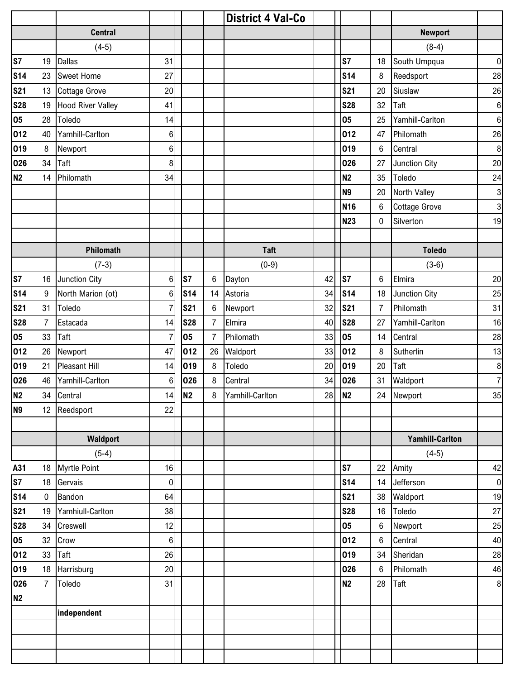|                |             |                          |                  |                |                | <b>District 4 Val-Co</b> |    |                |                |                        |                  |
|----------------|-------------|--------------------------|------------------|----------------|----------------|--------------------------|----|----------------|----------------|------------------------|------------------|
|                |             | <b>Central</b>           |                  |                |                |                          |    |                |                | <b>Newport</b>         |                  |
|                |             | $(4-5)$                  |                  |                |                |                          |    |                |                | $(8-4)$                |                  |
| S7             | 19          | <b>Dallas</b>            | 31               |                |                |                          |    | S7             | 18             | South Umpqua           | $\overline{0}$   |
| <b>S14</b>     | 23          | <b>Sweet Home</b>        | 27               |                |                |                          |    | <b>S14</b>     | 8              | Reedsport              | 28               |
| <b>S21</b>     | 13          | <b>Cottage Grove</b>     | 20               |                |                |                          |    | <b>S21</b>     | 20             | Siuslaw                | 26               |
| <b>S28</b>     | 19          | <b>Hood River Valley</b> | 41               |                |                |                          |    | <b>S28</b>     | 32             | Taft                   | $\,6$            |
| 05             | 28          | Toledo                   | 14               |                |                |                          |    | 05             | 25             | Yamhill-Carlton        | $\boldsymbol{6}$ |
| 012            | 40          | Yamhill-Carlton          | $\,6$            |                |                |                          |    | 012            | 47             | Philomath              | 26               |
| 019            | 8           | Newport                  | 6                |                |                |                          |    | 019            | 6              | Central                | $\bf 8$          |
| 026            | 34          | Taft                     | 8                |                |                |                          |    | 026            | 27             | Junction City          | 20               |
| N <sub>2</sub> | 14          | Philomath                | 34               |                |                |                          |    | <b>N2</b>      | 35             | Toledo                 | 24               |
|                |             |                          |                  |                |                |                          |    | <b>N9</b>      | 20             | North Valley           | $\mathbf{3}$     |
|                |             |                          |                  |                |                |                          |    | <b>N16</b>     | $\,6$          | <b>Cottage Grove</b>   | $\mathbf{3}$     |
|                |             |                          |                  |                |                |                          |    | <b>N23</b>     | 0              | Silverton              | 19               |
|                |             |                          |                  |                |                |                          |    |                |                |                        |                  |
|                |             | Philomath                |                  |                |                | <b>Taft</b>              |    |                |                | <b>Toledo</b>          |                  |
|                |             | $(7-3)$                  |                  |                |                | $(0-9)$                  |    |                |                | $(3-6)$                |                  |
| S7             | 16          | Junction City            | 6                | S7             | 6              | Dayton                   | 42 | S7             | $\,6$          | Elmira                 | 20               |
| <b>S14</b>     | 9           | North Marion (ot)        | 6                | <b>S14</b>     | 14             | Astoria                  | 34 | <b>S14</b>     | 18             | Junction City          | 25               |
| <b>S21</b>     | 31          | Toledo                   | $\overline{7}$   | <b>S21</b>     | $6\phantom{1}$ | Newport                  | 32 | <b>S21</b>     | $\overline{7}$ | Philomath              | 31               |
| <b>S28</b>     | 7           | Estacada                 | 14               | <b>S28</b>     | 7              | Elmira                   | 40 | <b>S28</b>     | 27             | Yamhill-Carlton        | 16               |
| 05             | 33          | Taft                     | 7                | 05             | 7              | Philomath                | 33 | 05             | 14             | Central                | 28               |
| 012            | 26          | Newport                  | 47               | 012            | 26             | Waldport                 | 33 | 012            | 8              | Sutherlin              | 13               |
| 019            | 21          | <b>Pleasant Hill</b>     | 14               | 019            | 8              | Toledo                   | 20 | 019            | 20             | Taft                   | $\bf 8$          |
| 026            | 46          | Yamhill-Carlton          | 6                | 026            | 8              | Central                  | 34 | 026            | 31             | Waldport               | $\overline{7}$   |
| N2             | 34          | Central                  | 14               | N <sub>2</sub> | 8              | Yamhill-Carlton          |    | 28 N2          |                | 24 Newport             | $35\,$           |
| N <sub>9</sub> |             | 12 Reedsport             | 22               |                |                |                          |    |                |                |                        |                  |
|                |             |                          |                  |                |                |                          |    |                |                |                        |                  |
|                |             | Waldport                 |                  |                |                |                          |    |                |                | <b>Yamhill-Carlton</b> |                  |
|                |             | $(5-4)$                  |                  |                |                |                          |    |                |                | $(4-5)$                |                  |
| A31            | 18          | <b>Myrtle Point</b>      | 16               |                |                |                          |    | S7             | 22             | Amity                  | 42               |
| <b>S7</b>      | 18          | Gervais                  | $\pmb{0}$        |                |                |                          |    | <b>S14</b>     | 14             | Jefferson              | $\overline{0}$   |
| <b>S14</b>     | $\mathbf 0$ | Bandon                   | 64               |                |                |                          |    | <b>S21</b>     | 38             | Waldport               | 19               |
| <b>S21</b>     | 19          | Yamhiull-Carlton         | 38               |                |                |                          |    | <b>S28</b>     | 16             | Toledo                 | 27               |
| <b>S28</b>     | 34          | Creswell                 | 12               |                |                |                          |    | 05             | $\,6\,$        | Newport                | 25               |
| 05             | 32          | Crow                     | $\boldsymbol{6}$ |                |                |                          |    | 012            | $\,6\,$        | Central                | 40               |
| 012            | 33          | Taft                     | 26               |                |                |                          |    | 019            | 34             | Sheridan               | 28               |
| 019            | 18          | Harrisburg               | 20               |                |                |                          |    | 026            | $\,6\,$        | Philomath              | 46               |
| 026            | 7           | Toledo                   | 31               |                |                |                          |    | N <sub>2</sub> | 28             | Taft                   | $\boldsymbol{8}$ |
| N2             |             |                          |                  |                |                |                          |    |                |                |                        |                  |
|                |             | independent              |                  |                |                |                          |    |                |                |                        |                  |
|                |             |                          |                  |                |                |                          |    |                |                |                        |                  |
|                |             |                          |                  |                |                |                          |    |                |                |                        |                  |
|                |             |                          |                  |                |                |                          |    |                |                |                        |                  |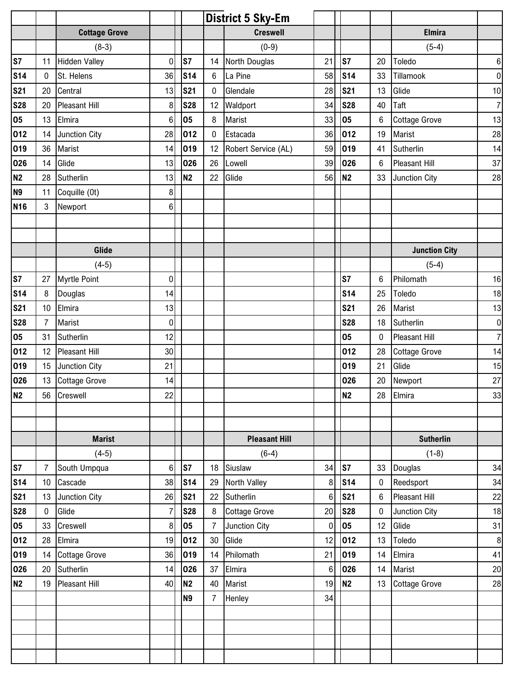|                 |                |                      |                  |                |                | <b>District 5 Sky-Em</b> |                 |                 |          |                      |                |
|-----------------|----------------|----------------------|------------------|----------------|----------------|--------------------------|-----------------|-----------------|----------|----------------------|----------------|
|                 |                | <b>Cottage Grove</b> |                  |                |                | <b>Creswell</b>          |                 |                 |          | <b>Elmira</b>        |                |
|                 |                | $(8-3)$              |                  |                |                | $(0-9)$                  |                 |                 |          | $(5-4)$              |                |
| S7              | 11             | <b>Hidden Valley</b> | $\overline{0}$   | S7             | 14             | North Douglas            | 21              | ls7             | 20       | Toledo               | $6 \mid$       |
| S <sub>14</sub> | 0              | St. Helens           | 36               | <b>S14</b>     | $6\phantom{.}$ | La Pine                  | 58              | S <sub>14</sub> | 33       | Tillamook            | $\overline{0}$ |
| <b>S21</b>      | 20             | Central              | 13               | <b>S21</b>     | 0              | Glendale                 | 28              | <b>S21</b>      | 13       | Glide                | 10             |
| <b>S28</b>      | 20             | Pleasant Hill        | 8                | <b>S28</b>     | 12             | Waldport                 | 34              | <b>S28</b>      | 40       | Taft                 | $\overline{7}$ |
| 05              | 13             | Elmira               | $6\phantom{.}$   | 05             | 8              | Marist                   | 33              | 05              | $\,6$    | <b>Cottage Grove</b> | 13             |
| 012             | 14             | Junction City        | 28               | 012            | $\pmb{0}$      | Estacada                 | 36              | 012             | 19       | Marist               | 28             |
| 019             | 36             | Marist               | 14               | 019            | 12             | Robert Service (AL)      | 59              | 019             | 41       | Sutherlin            | 14             |
| 026             | 14             | Glide                | 13               | 026            | 26             | Lowell                   | 39              | 026             | 6        | <b>Pleasant Hill</b> | 37             |
| <b>N2</b>       | 28             | Sutherlin            | 13               | N <sub>2</sub> | 22             | Glide                    | 56              | N <sub>2</sub>  | 33       | Junction City        | 28             |
| N <sub>9</sub>  | 11             | Coquille (0t)        | 8 <sup>1</sup>   |                |                |                          |                 |                 |          |                      |                |
| <b>N16</b>      | 3              | Newport              | $6\phantom{a}$   |                |                |                          |                 |                 |          |                      |                |
|                 |                |                      |                  |                |                |                          |                 |                 |          |                      |                |
|                 |                |                      |                  |                |                |                          |                 |                 |          |                      |                |
|                 |                | Glide                |                  |                |                |                          |                 |                 |          | <b>Junction City</b> |                |
|                 |                | $(4-5)$              |                  |                |                |                          |                 |                 |          | $(5-4)$              |                |
| S7              | 27             | <b>Myrtle Point</b>  | $\boldsymbol{0}$ |                |                |                          |                 | S7              | 6        | Philomath            | 16             |
| <b>S14</b>      | 8              | Douglas              | 14               |                |                |                          |                 | <b>S14</b>      | 25       | Toledo               | 18             |
| <b>S21</b>      | 10             | Elmira               | 13               |                |                |                          |                 | <b>S21</b>      | 26       | Marist               | 13             |
| <b>S28</b>      | $\overline{7}$ | Marist               | $\overline{0}$   |                |                |                          |                 | <b>S28</b>      | 18       | Sutherlin            | $\overline{0}$ |
| 05              | 31             | Sutherlin            | 12               |                |                |                          |                 | 05              | $\bf{0}$ | Pleasant Hill        | $\overline{7}$ |
| 012             | 12             | <b>Pleasant Hill</b> | 30               |                |                |                          |                 | 012             | 28       | <b>Cottage Grove</b> | 14             |
| 019             | 15             | Junction City        | 21               |                |                |                          |                 | 019             | 21       | Glide                | 15             |
| 026             | 13             | <b>Cottage Grove</b> | 14               |                |                |                          |                 | 026             | 20       | Newport              | 27             |
| N2              |                | 56 Creswell          | 22               |                |                |                          |                 | N <sub>2</sub>  | 28       | Elmira               | 33             |
|                 |                |                      |                  |                |                |                          |                 |                 |          |                      |                |
|                 |                |                      |                  |                |                |                          |                 |                 |          |                      |                |
|                 |                | <b>Marist</b>        |                  |                |                | <b>Pleasant Hill</b>     |                 |                 |          | <b>Sutherlin</b>     |                |
|                 |                | $(4-5)$              |                  |                |                | $(6-4)$                  |                 |                 |          | $(1-8)$              |                |
| S7              | $\overline{7}$ | South Umpqua         | $6 \mid$         | S7             | 18             | Siuslaw                  | 34              | S7              | 33       | Douglas              | 34             |
| <b>S14</b>      | 10             | Cascade              | 38               | <b>S14</b>     | 29             | North Valley             | 8               | S <sub>14</sub> | 0        | Reedsport            | 34             |
| <b>S21</b>      | 13             | Junction City        | 26               | <b>S21</b>     | 22             | Sutherlin                | $6\phantom{1}$  | <b>S21</b>      | $\,6$    | Pleasant Hill        | 22             |
| <b>S28</b>      | 0              | Glide                | $\overline{7}$   | <b>S28</b>     | 8              | <b>Cottage Grove</b>     | 20              | <b>S28</b>      | 0        | Junction City        | 18             |
| 05              | 33             | Creswell             | $\boldsymbol{8}$ | 05             | $\overline{7}$ | Junction City            | $\mathbf 0$     | 05              | 12       | Glide                | 31             |
| 012             | 28             | Elmira               | 19               | 012            | 30             | Glide                    | 12              | 012             | 13       | Toledo               | 8 <sup>°</sup> |
| 019             | 14             | <b>Cottage Grove</b> | 36               | 019            | 14             | Philomath                | 21              | 019             | 14       | Elmira               | 41             |
| 026             | 20             | Sutherlin            | 14               | 026            | 37             | Elmira                   | $6\phantom{1}6$ | 026             | 14       | Marist               | 20             |
| N2              | 19             | <b>Pleasant Hill</b> | 40               | N <sub>2</sub> | 40             | Marist                   | 19              | N <sub>2</sub>  | 13       | <b>Cottage Grove</b> | 28             |
|                 |                |                      |                  | <b>N9</b>      | $\overline{7}$ | Henley                   | 34              |                 |          |                      |                |
|                 |                |                      |                  |                |                |                          |                 |                 |          |                      |                |
|                 |                |                      |                  |                |                |                          |                 |                 |          |                      |                |
|                 |                |                      |                  |                |                |                          |                 |                 |          |                      |                |
|                 |                |                      |                  |                |                |                          |                 |                 |          |                      |                |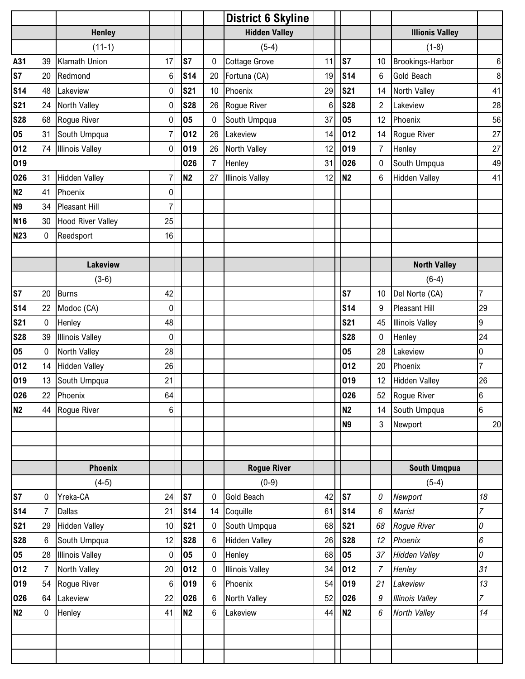|                 |                |                          |                  |            |                 | <b>District 6 Skyline</b> |                 |                |                  |                        |                  |
|-----------------|----------------|--------------------------|------------------|------------|-----------------|---------------------------|-----------------|----------------|------------------|------------------------|------------------|
|                 |                | <b>Henley</b>            |                  |            |                 | <b>Hidden Valley</b>      |                 |                |                  | <b>Illionis Valley</b> |                  |
|                 |                | $(11-1)$                 |                  |            |                 | $(5-4)$                   |                 |                |                  | $(1-8)$                |                  |
| A31             | 39             | Klamath Union            | 17               | S7         | 0               | <b>Cottage Grove</b>      | 11              | S7             | 10               | Brookings-Harbor       | $\boldsymbol{6}$ |
| S7              | 20             | Redmond                  | 6                | <b>S14</b> | 20              | Fortuna (CA)              | 19              | <b>S14</b>     | $\,6$            | <b>Gold Beach</b>      | $\bf 8$          |
| <b>S14</b>      | 48             | Lakeview                 | 0                | <b>S21</b> | 10              | Phoenix                   | 29              | <b>S21</b>     | 14               | North Valley           | 41               |
| <b>S21</b>      | 24             | North Valley             | $\pmb{0}$        | <b>S28</b> | 26              | Rogue River               | $6\phantom{1}6$ | <b>S28</b>     | $\overline{c}$   | Lakeview               | 28               |
| <b>S28</b>      | 68             | Rogue River              | 0                | 05         | 0               | South Umpqua              | 37              | 05             | 12               | Phoenix                | 56               |
| 05              | 31             | South Umpqua             | 7                | 012        | 26              | Lakeview                  | 14              | 012            | 14               | Rogue River            | 27               |
| 012             | 74             | <b>Illinois Valley</b>   | 0                | 019        | 26              | North Valley              | 12              | 019            | $\overline{7}$   | Henley                 | 27               |
| 019             |                |                          |                  | 026        | $\overline{7}$  | Henley                    | 31              | 026            | 0                | South Umpqua           | 49               |
| 026             | 31             | <b>Hidden Valley</b>     | 7                | <b>N2</b>  | 27              | <b>Illinois Valley</b>    | 12              | N <sub>2</sub> | 6                | <b>Hidden Valley</b>   | 41               |
| <b>N2</b>       | 41             | Phoenix                  | 0                |            |                 |                           |                 |                |                  |                        |                  |
| N <sub>9</sub>  | 34             | <b>Pleasant Hill</b>     | 7                |            |                 |                           |                 |                |                  |                        |                  |
| N <sub>16</sub> | 30             | <b>Hood River Valley</b> | 25               |            |                 |                           |                 |                |                  |                        |                  |
| <b>N23</b>      | $\mathbf{0}$   | Reedsport                | 16               |            |                 |                           |                 |                |                  |                        |                  |
|                 |                |                          |                  |            |                 |                           |                 |                |                  |                        |                  |
|                 |                | <b>Lakeview</b>          |                  |            |                 |                           |                 |                |                  | <b>North Valley</b>    |                  |
|                 |                | $(3-6)$                  |                  |            |                 |                           |                 |                |                  | $(6-4)$                |                  |
| S7              | 20             | <b>Burns</b>             | 42               |            |                 |                           |                 | S7             | 10               | Del Norte (CA)         | $\overline{7}$   |
| <b>S14</b>      | 22             | Modoc (CA)               | 0                |            |                 |                           |                 | <b>S14</b>     | 9                | <b>Pleasant Hill</b>   | 29               |
| <b>S21</b>      | 0              | Henley                   | 48               |            |                 |                           |                 | <b>S21</b>     | 45               | <b>Illinois Valley</b> | 9                |
| <b>S28</b>      | 39             | <b>Illinois Valley</b>   | $\boldsymbol{0}$ |            |                 |                           |                 | <b>S28</b>     | 0                | Henley                 | 24               |
| 05              | 0              | North Valley             | 28               |            |                 |                           |                 | 05             | 28               | Lakeview               | 0                |
| 012             | 14             | <b>Hidden Valley</b>     | 26               |            |                 |                           |                 | 012            | 20               | Phoenix                | $\overline{7}$   |
| 019             | 13             | South Umpqua             | 21               |            |                 |                           |                 | 019            | 12               | <b>Hidden Valley</b>   | 26               |
| 026             | 22             | Phoenix                  | 64               |            |                 |                           |                 | 026            | 52               | Rogue River            | 6                |
| N <sub>2</sub>  | 44             | Rogue River              | $6 \,$           |            |                 |                           |                 | N <sub>2</sub> | 14               | South Umpqua           | $\overline{6}$   |
|                 |                |                          |                  |            |                 |                           |                 | <b>N9</b>      | 3                | Newport                | 20               |
|                 |                |                          |                  |            |                 |                           |                 |                |                  |                        |                  |
|                 |                |                          |                  |            |                 |                           |                 |                |                  |                        |                  |
|                 |                | <b>Phoenix</b>           |                  |            |                 | <b>Rogue River</b>        |                 |                |                  | <b>South Umqpua</b>    |                  |
|                 |                | $(4-5)$                  |                  |            |                 | $(0-9)$                   |                 |                |                  | $(5-4)$                |                  |
| S7              | 0              | Yreka-CA                 | 24               | S7         | 0               | Gold Beach                | 42              | S7             | 0                | Newport                | 18               |
| <b>S14</b>      | 7              | <b>Dallas</b>            | 21               | <b>S14</b> | 14              | Coquille                  | 61              | <b>S14</b>     | 6                | <b>Marist</b>          | $\overline{7}$   |
| <b>S21</b>      | 29             | <b>Hidden Valley</b>     | 10               | <b>S21</b> | 0               | South Umpqua              | 68              | <b>S21</b>     | 68               | Rogue River            | 0                |
| <b>S28</b>      | 6              | South Umpqua             | 12               | <b>S28</b> | 6               | <b>Hidden Valley</b>      | 26              | <b>S28</b>     | 12               | Phoenix                | 6                |
| 05              | 28             | <b>Illinois Valley</b>   | 0                | 05         | 0               | Henley                    | 68              | 05             | 37               | <b>Hidden Valley</b>   | 0                |
| 012             | $\overline{7}$ | North Valley             | 20               | 012        | 0               | <b>Illinois Valley</b>    | 34              | 012            | $\overline{7}$   | Henley                 | 31               |
| 019             | 54             | Rogue River              | 6                | 019        | $6\phantom{.0}$ | Phoenix                   | 54              | 019            | 21               | Lakeview               | 13               |
| 026             | 64             | Lakeview                 | 22               | 026        | 6               | North Valley              | 52              | 026            | $\boldsymbol{g}$ | <b>Illinois Valley</b> | $\overline{7}$   |
| N2              | 0              | Henley                   | 41               | <b>N2</b>  | 6               | Lakeview                  | 44              | <b>N2</b>      | 6                | North Valley           | 14               |
|                 |                |                          |                  |            |                 |                           |                 |                |                  |                        |                  |
|                 |                |                          |                  |            |                 |                           |                 |                |                  |                        |                  |
|                 |                |                          |                  |            |                 |                           |                 |                |                  |                        |                  |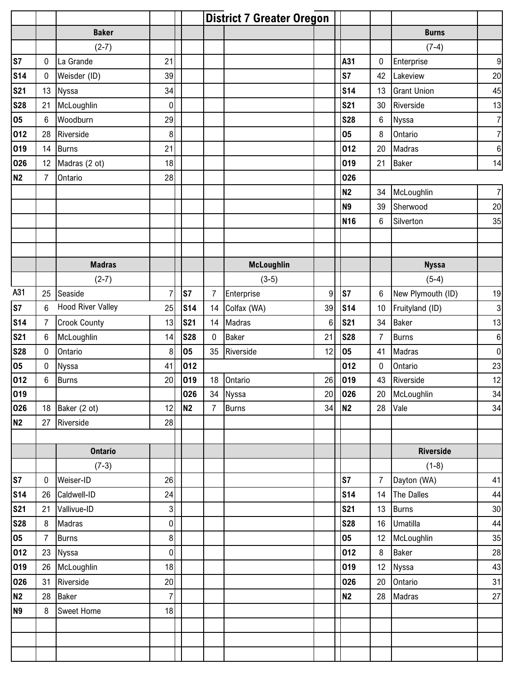|                   |                 |                          |                  |                |                | <b>District 7 Greater Oregon</b> |    |                 |                |                    |                |
|-------------------|-----------------|--------------------------|------------------|----------------|----------------|----------------------------------|----|-----------------|----------------|--------------------|----------------|
|                   |                 | <b>Baker</b>             |                  |                |                |                                  |    |                 |                | <b>Burns</b>       |                |
|                   |                 | $(2-7)$                  |                  |                |                |                                  |    |                 |                | $(7-4)$            |                |
| S7                | $\mathbf 0$     | La Grande                | 21               |                |                |                                  |    | A31             | 0              | Enterprise         | 9              |
| <b>S14</b>        | $\mathbf 0$     | Weisder (ID)             | 39               |                |                |                                  |    | S7              | 42             | Lakeview           | 20             |
| <b>S21</b>        | 13              | <b>Nyssa</b>             | 34               |                |                |                                  |    | <b>S14</b>      | 13             | <b>Grant Union</b> | 45             |
| <b>S28</b>        | 21              | McLoughlin               | 0                |                |                |                                  |    | <b>S21</b>      | 30             | Riverside          | 13             |
| 05                | 6               | Woodburn                 | 29               |                |                |                                  |    | <b>S28</b>      | 6              | Nyssa              | $\overline{7}$ |
| 012               | 28              | Riverside                | 8                |                |                |                                  |    | 05              | 8              | Ontario            | $\overline{7}$ |
| 019               | 14              | <b>Burns</b>             | 21               |                |                |                                  |    | 012             | 20             | Madras             | $\bf 6$        |
| 026               | 12              | Madras (2 ot)            | 18               |                |                |                                  |    | 019             | 21             | <b>Baker</b>       | 14             |
| N <sub>2</sub>    | 7               | Ontario                  | 28               |                |                |                                  |    | 026             |                |                    |                |
|                   |                 |                          |                  |                |                |                                  |    | <b>N2</b>       | 34             | McLoughlin         | $\overline{7}$ |
|                   |                 |                          |                  |                |                |                                  |    | N <sub>9</sub>  | 39             | Sherwood           | 20             |
|                   |                 |                          |                  |                |                |                                  |    | <b>N16</b>      | $\,6$          | Silverton          | 35             |
|                   |                 |                          |                  |                |                |                                  |    |                 |                |                    |                |
|                   |                 |                          |                  |                |                |                                  |    |                 |                |                    |                |
|                   |                 | <b>Madras</b>            |                  |                |                | <b>McLoughlin</b>                |    |                 |                | <b>Nyssa</b>       |                |
|                   |                 | $(2-7)$                  |                  |                |                | $(3-5)$                          |    |                 |                | $(5-4)$            |                |
| A31               | 25              | Seaside                  | $\overline{7}$   | S7             | $\overline{7}$ | Enterprise                       | 9  | ls7             | 6              | New Plymouth (ID)  | 19             |
| S7                | 6               | <b>Hood River Valley</b> | 25               | <b>S14</b>     | 14             | Colfax (WA)                      | 39 | <b>S14</b>      | 10             | Fruityland (ID)    | 3              |
| <b>S14</b>        | 7               | <b>Crook County</b>      | 13               | <b>S21</b>     | 14             | Madras                           | 6  | <b>S21</b>      | 34             | <b>Baker</b>       | 13             |
| <b>S21</b>        | 6               | McLoughlin               | 14               | <b>S28</b>     | $\mathbf{0}$   | Baker                            | 21 | <b>S28</b>      | $\overline{7}$ | <b>Burns</b>       | $6 \mid$       |
| <b>S28</b>        | $\mathbf 0$     | Ontario                  | 8                | 05             | 35             | Riverside                        | 12 | 05              | 41             | <b>Madras</b>      | $\overline{0}$ |
| 05                | 0               | <b>Nyssa</b>             | 41               | 012            |                |                                  |    | 012             | $\pmb{0}$      | Ontario            | 23             |
| 012               | $6\phantom{1}6$ | <b>Burns</b>             | 20               | 019            | 18             | Ontario                          | 26 | 019             | 43             | Riverside          | 12             |
|                   |                 |                          |                  | 026            |                | 34 Nyssa                         | 20 | 026             | 20             | McLoughlin         | 34             |
| $\frac{019}{026}$ | 18              | Baker (2 ot)             | 12               | N <sub>2</sub> | $\overline{7}$ | <b>Burns</b>                     | 34 | N <sub>2</sub>  | 28             | Vale               | 34             |
| <b>N2</b>         | 27              | Riverside                | 28               |                |                |                                  |    |                 |                |                    |                |
|                   |                 |                          |                  |                |                |                                  |    |                 |                |                    |                |
|                   |                 | <b>Ontario</b>           |                  |                |                |                                  |    |                 |                | <b>Riverside</b>   |                |
|                   |                 | $(7-3)$                  |                  |                |                |                                  |    |                 |                | $(1-8)$            |                |
| s <sub>7</sub>    | $\mathbf 0$     | Weiser-ID                | 26               |                |                |                                  |    | S7              | $\overline{7}$ | Dayton (WA)        | 41             |
| <b>S14</b>        | 26              | Caldwell-ID              | 24               |                |                |                                  |    | S <sub>14</sub> | 14             | The Dalles         | 44             |
| <b>S21</b>        | 21              | Vallivue-ID              | $\overline{3}$   |                |                |                                  |    | <b>S21</b>      | 13             | <b>Burns</b>       | 30             |
| <b>S28</b>        | 8               | Madras                   | $\pmb{0}$        |                |                |                                  |    | <b>S28</b>      | 16             | <b>Umatilla</b>    | 44             |
| 05                | $\overline{7}$  | <b>Burns</b>             | $\boldsymbol{8}$ |                |                |                                  |    | 05              | 12             | McLoughlin         | 35             |
| 012               | 23              | Nyssa                    | $\overline{0}$   |                |                |                                  |    | 012             | 8              | <b>Baker</b>       | 28             |
| 019               | 26              | McLoughlin               | 18               |                |                |                                  |    | 019             | 12             | Nyssa              | 43             |
| 026               | 31              | Riverside                | 20 <sub>l</sub>  |                |                |                                  |    | 026             | $20\,$         | Ontario            | 31             |
| <b>N2</b>         | 28              | <b>Baker</b>             | $\overline{7}$   |                |                |                                  |    | <b>N2</b>       | 28             | Madras             | 27             |
| N <sub>9</sub>    | 8               | <b>Sweet Home</b>        | 18               |                |                |                                  |    |                 |                |                    |                |
|                   |                 |                          |                  |                |                |                                  |    |                 |                |                    |                |
|                   |                 |                          |                  |                |                |                                  |    |                 |                |                    |                |
|                   |                 |                          |                  |                |                |                                  |    |                 |                |                    |                |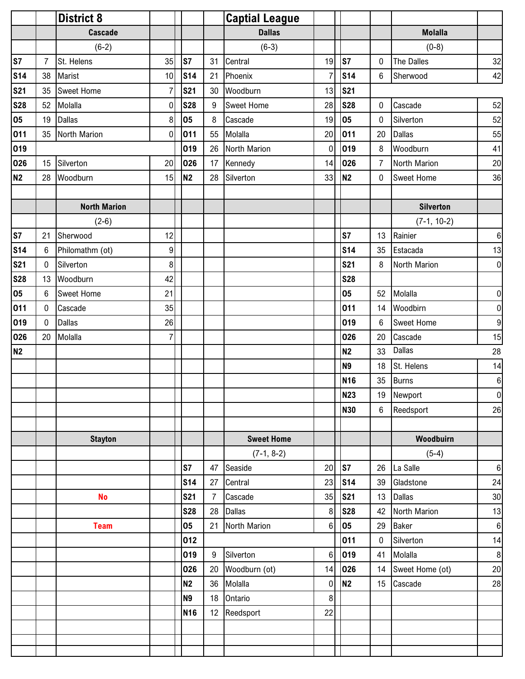|            |                  | <b>District 8</b>   |                  |                 |                  | <b>Captial League</b> |                  |                |                  |                   |                  |
|------------|------------------|---------------------|------------------|-----------------|------------------|-----------------------|------------------|----------------|------------------|-------------------|------------------|
|            |                  | <b>Cascade</b>      |                  |                 |                  | <b>Dallas</b>         |                  |                |                  | <b>Molalla</b>    |                  |
|            |                  | $(6-2)$             |                  |                 |                  | $(6-3)$               |                  |                |                  | $(0-8)$           |                  |
| S7         | $\overline{7}$   | St. Helens          | 35               | S7              | 31               | Central               | 19               | S7             | $\bf{0}$         | <b>The Dalles</b> | 32               |
| <b>S14</b> | 38               | Marist              | 10               | <b>S14</b>      | 21               | Phoenix               | $\overline{7}$   | <b>S14</b>     | 6                | Sherwood          | 42               |
| <b>S21</b> | 35               | <b>Sweet Home</b>   | $\overline{7}$   | <b>S21</b>      | 30               | Woodburn              | 13               | <b>S21</b>     |                  |                   |                  |
| <b>S28</b> | 52               | Molalla             | $\pmb{0}$        | <b>S28</b>      | 9                | <b>Sweet Home</b>     | 28               | <b>S28</b>     | 0                | Cascade           | 52               |
| 05         | 19               | <b>Dallas</b>       | $\,8\,$          | 05              | 8                | Cascade               | 19               | 05             | 0                | Silverton         | 52               |
| 011        | 35               | North Marion        | 0                | 011             | 55               | Molalla               | 20               | 011            | 20               | <b>Dallas</b>     | 55               |
| 019        |                  |                     |                  | 019             | 26               | North Marion          | $\mathbf 0$      | 019            | $\,8\,$          | Woodburn          | 41               |
| 026        | 15               | Silverton           | 20               | 026             | 17               | Kennedy               | 14               | 026            | $\overline{7}$   | North Marion      | 20               |
| N2         | 28               | Woodburn            | 15               | <b>N2</b>       | 28               | Silverton             | 33               | <b>N2</b>      | $\mathbf 0$      | <b>Sweet Home</b> | 36               |
|            |                  |                     |                  |                 |                  |                       |                  |                |                  |                   |                  |
|            |                  | <b>North Marion</b> |                  |                 |                  |                       |                  |                |                  | <b>Silverton</b>  |                  |
|            |                  | $(2-6)$             |                  |                 |                  |                       |                  |                |                  | $(7-1, 10-2)$     |                  |
| S7         | 21               | Sherwood            | 12               |                 |                  |                       |                  | S7             | 13               | Rainier           | $6 \overline{6}$ |
| <b>S14</b> | $6\phantom{1}$   | Philomathm (ot)     | $\boldsymbol{9}$ |                 |                  |                       |                  | <b>S14</b>     | 35               | Estacada          | 13               |
| <b>S21</b> | 0                | Silverton           | 8                |                 |                  |                       |                  | <b>S21</b>     | $\,8\,$          | North Marion      | 0                |
| <b>S28</b> | 13               | Woodburn            | 42               |                 |                  |                       |                  | <b>S28</b>     |                  |                   |                  |
| 05         | 6                | Sweet Home          | 21               |                 |                  |                       |                  | 05             | 52               | Molalla           | $\overline{0}$   |
| 011        | $\boldsymbol{0}$ | Cascade             | 35               |                 |                  |                       |                  | 011            | 14               | Woodbirn          | 0                |
| 019        | $\mathbf{0}$     | <b>Dallas</b>       | 26               |                 |                  |                       |                  | 019            | $\boldsymbol{6}$ | <b>Sweet Home</b> | 9                |
| 026        | 20               | Molalla             | $\overline{7}$   |                 |                  |                       |                  | 026            | 20               | Cascade           | 15               |
| N2         |                  |                     |                  |                 |                  |                       |                  | <b>N2</b>      | 33               | Dallas            | 28               |
|            |                  |                     |                  |                 |                  |                       |                  | N <sub>9</sub> | 18               | St. Helens        | 14               |
|            |                  |                     |                  |                 |                  |                       |                  | <b>N16</b>     | 35               | <b>Burns</b>      | $6 \overline{6}$ |
|            |                  |                     |                  |                 |                  |                       |                  | <b>N23</b>     |                  | 19 Newport        | 0                |
|            |                  |                     |                  |                 |                  |                       |                  | <b>N30</b>     | 6                | Reedsport         | 26               |
|            |                  |                     |                  |                 |                  |                       |                  |                |                  |                   |                  |
|            |                  | <b>Stayton</b>      |                  |                 |                  | <b>Sweet Home</b>     |                  |                |                  | Woodbuirn         |                  |
|            |                  |                     |                  |                 |                  | $(7-1, 8-2)$          |                  |                |                  | $(5-4)$           |                  |
|            |                  |                     |                  | S7              | 47               | Seaside               | 20               | S7             | 26               | La Salle          | $6 \mid$         |
|            |                  |                     |                  | <b>S14</b>      | 27               | Central               | 23               | <b>S14</b>     | 39               | Gladstone         | 24               |
|            |                  | <b>No</b>           |                  | <b>S21</b>      | $\overline{7}$   | Cascade               | 35               | <b>S21</b>     | 13               | <b>Dallas</b>     | 30               |
|            |                  |                     |                  | <b>S28</b>      | 28               | <b>Dallas</b>         | 8                | <b>S28</b>     | 42               | North Marion      | 13               |
|            |                  | <b>Team</b>         |                  | 05              | 21               | North Marion          | 6                | 05             | 29               | <b>Baker</b>      | $6 \mid$         |
|            |                  |                     |                  | 012             |                  |                       |                  | 011            | $\pmb{0}$        | Silverton         | 14               |
|            |                  |                     |                  | 019             | $\boldsymbol{9}$ | Silverton             | $6\phantom{1}6$  | 019            | 41               | Molalla           | 8 <sup>1</sup>   |
|            |                  |                     |                  | 026             | 20               | Woodburn (ot)         | 14               | 026            | 14               | Sweet Home (ot)   | $20\,$           |
|            |                  |                     |                  | N <sub>2</sub>  | 36               | Molalla               | $\boldsymbol{0}$ | N <sub>2</sub> | 15               | Cascade           | 28               |
|            |                  |                     |                  | N <sub>9</sub>  | 18               | Ontario               | 8                |                |                  |                   |                  |
|            |                  |                     |                  | N <sub>16</sub> | 12 <sup>°</sup>  | Reedsport             | 22               |                |                  |                   |                  |
|            |                  |                     |                  |                 |                  |                       |                  |                |                  |                   |                  |
|            |                  |                     |                  |                 |                  |                       |                  |                |                  |                   |                  |
|            |                  |                     |                  |                 |                  |                       |                  |                |                  |                   |                  |